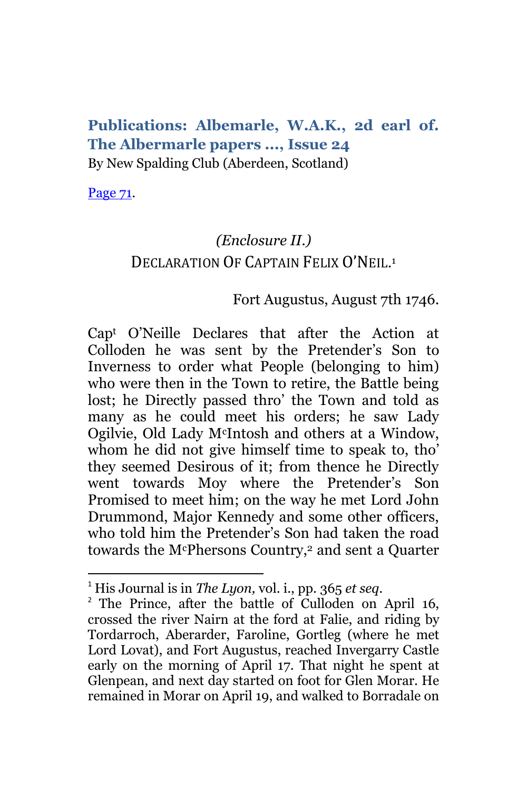## **Publications: Albemarle, W.A.K., 2d earl of. The Albermarle papers ..., Issue 24** By New Spalding Club (Aberdeen, Scotland)

[Page 71.](http://books.google.com/books?id=sHYuAAAAMAAJ&lpg=PA70&ots=I8wSL5XMzP&dq=%2BGartrigill&pg=PA71#v=onepage&q=+Gartrigill&f=false)

 $\overline{a}$ 

# *(Enclosure II.)* DECLARATION OF CAPTAIN FELIX O'NEIL.<sup>1</sup>

## Fort Augustus, August 7th 1746.

Cap<sup>t</sup> O'Neille Declares that after the Action at Colloden he was sent by the Pretender's Son to Inverness to order what People (belonging to him) who were then in the Town to retire, the Battle being lost; he Directly passed thro' the Town and told as many as he could meet his orders; he saw Lady Ogilvie, Old Lady McIntosh and others at a Window, whom he did not give himself time to speak to, tho' they seemed Desirous of it; from thence he Directly went towards Moy where the Pretender's Son Promised to meet him; on the way he met Lord John Drummond, Major Kennedy and some other officers, who told him the Pretender's Son had taken the road towards the McPhersons Country,<sup>2</sup> and sent a Quarter

<sup>1</sup> His Journal is in *The Lyon,* vol. i., pp. 365 *et seq.*

<sup>&</sup>lt;sup>2</sup> The Prince, after the battle of Culloden on April 16, crossed the river Nairn at the ford at Falie, and riding by Tordarroch, Aberarder, Faroline, Gortleg (where he met Lord Lovat), and Fort Augustus, reached Invergarry Castle early on the morning of April 17. That night he spent at Glenpean, and next day started on foot for Glen Morar. He remained in Morar on April 19, and walked to Borradale on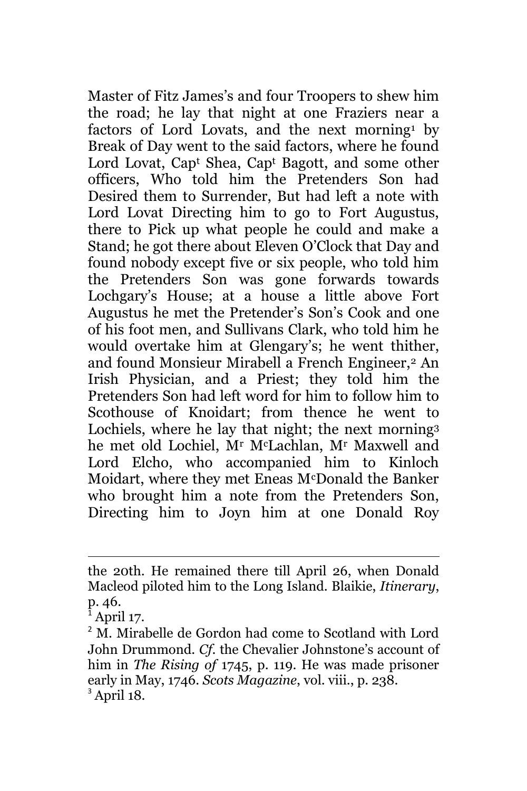Master of Fitz James's and four Troopers to shew him the road; he lay that night at one Fraziers near a factors of Lord Lovats, and the next morning<sup>1</sup> by Break of Day went to the said factors, where he found Lord Lovat, Cap<sup>t</sup> Shea, Cap<sup>t</sup> Bagott, and some other officers, Who told him the Pretenders Son had Desired them to Surrender, But had left a note with Lord Lovat Directing him to go to Fort Augustus, there to Pick up what people he could and make a Stand; he got there about Eleven O'Clock that Day and found nobody except five or six people, who told him the Pretenders Son was gone forwards towards Lochgary's House; at a house a little above Fort Augustus he met the Pretender's Son's Cook and one of his foot men, and Sullivans Clark, who told him he would overtake him at Glengary's; he went thither, and found Monsieur Mirabell a French Engineer,<sup>2</sup> An Irish Physician, and a Priest; they told him the Pretenders Son had left word for him to follow him to Scothouse of Knoidart; from thence he went to Lochiels, where he lay that night; the next morning<sup>3</sup> he met old Lochiel, M<sup>r</sup> McLachlan, M<sup>r</sup> Maxwell and Lord Elcho, who accompanied him to Kinloch Moidart, where they met Eneas McDonald the Banker who brought him a note from the Pretenders Son, Directing him to Joyn him at one Donald Roy

the 20th. He remained there till April 26, when Donald Macleod piloted him to the Long Island. Blaikie, *Itinerary*, p. 46.

April 17.

<sup>&</sup>lt;sup>2</sup> M. Mirabelle de Gordon had come to Scotland with Lord John Drummond. *Cf*. the Chevalier Johnstone's account of him in *The Rising of* 1745, p. 119. He was made prisoner early in May, 1746. *Scots Magazine*, vol. viii., p. 238.  $<sup>3</sup>$  April 18.</sup>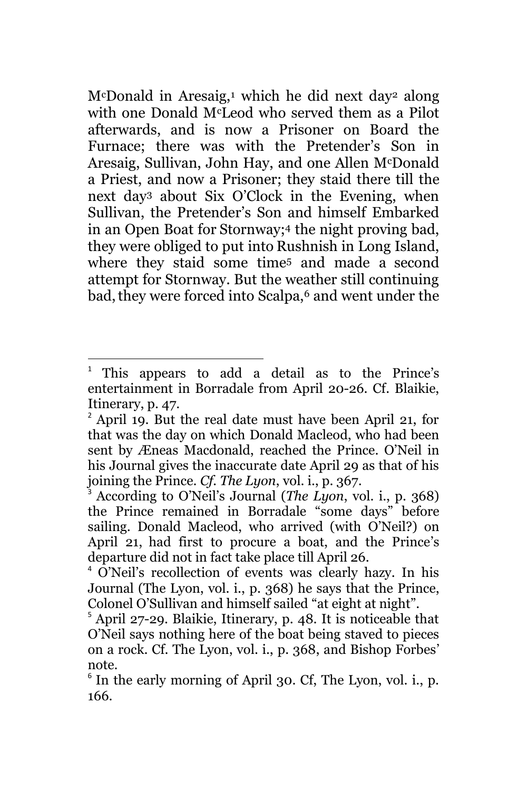$M^c$ Donald in Aresaig,<sup>1</sup> which he did next day<sup>2</sup> along with one Donald McLeod who served them as a Pilot afterwards, and is now a Prisoner on Board the Furnace; there was with the Pretender's Son in Aresaig, Sullivan, John Hay, and one Allen McDonald a Priest, and now a Prisoner; they staid there till the next day<sup>3</sup> about Six O'Clock in the Evening, when Sullivan, the Pretender's Son and himself Embarked in an Open Boat for Stornway; <sup>4</sup> the night proving bad, they were obliged to put into Rushnish in Long Island, where they staid some time<sup>5</sup> and made a second attempt for Stornway. But the weather still continuing bad, they were forced into Scalpa,<sup>6</sup> and went under the

<sup>1</sup> This appears to add a detail as to the Prince's entertainment in Borradale from April 20-26. Cf. Blaikie, Itinerary, p. 47.

<sup>2</sup> April 19. But the real date must have been April 21, for that was the day on which Donald Macleod, who had been sent by Æneas Macdonald, reached the Prince. O'Neil in his Journal gives the inaccurate date April 29 as that of his joining the Prince. *Cf. The Lyon*, vol. i., p. 367.

<sup>3</sup> According to O'Neil's Journal (*The Lyon*, vol. i., p. 368) the Prince remained in Borradale "some days" before sailing. Donald Macleod, who arrived (with O'Neil?) on April 21, had first to procure a boat, and the Prince's departure did not in fact take place till April 26.

<sup>4</sup> O'Neil's recollection of events was clearly hazy. In his Journal (The Lyon, vol. i., p. 368) he says that the Prince, Colonel O'Sullivan and himself sailed "at eight at night".

 $5$  April 27-29. Blaikie, Itinerary, p. 48. It is noticeable that O'Neil says nothing here of the boat being staved to pieces on a rock. Cf. The Lyon, vol. i., p. 368, and Bishop Forbes' note.

<sup>&</sup>lt;sup>6</sup> In the early morning of April 30. Cf, The Lyon, vol. i., p. 166.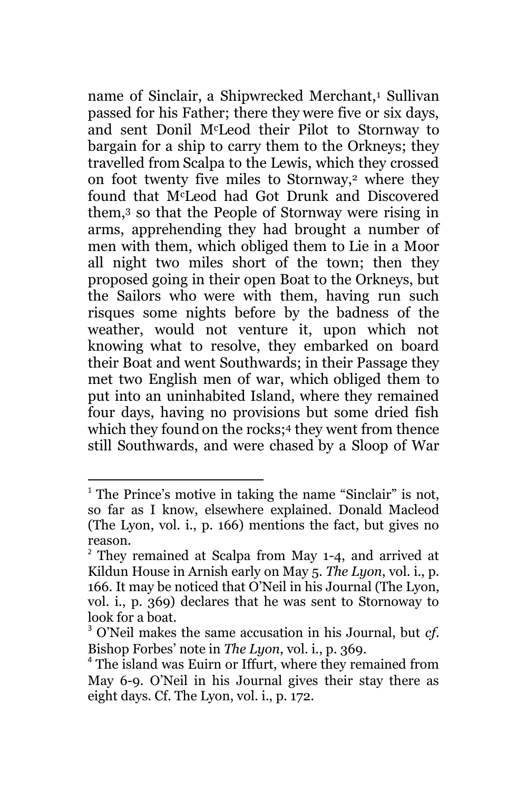name of Sinclair, a Shipwrecked Merchant,<sup>1</sup> Sullivan passed for his Father; there they were five or six days, and sent Donil McLeod their Pilot to Stornway to bargain for a ship to carry them to the Orkneys; they travelled from Scalpa to the Lewis, which they crossed on foot twenty five miles to Stornway,<sup>2</sup> where they found that McLeod had Got Drunk and Discovered them,<sup>3</sup> so that the People of Stornway were rising in arms, apprehending they had brought a number of men with them, which obliged them to Lie in a Moor all night two miles short of the town; then they proposed going in their open Boat to the Orkneys, but the Sailors who were with them, having run such risques some nights before by the badness of the weather, would not venture it, upon which not knowing what to resolve, they embarked on board their Boat and went Southwards; in their Passage they met two English men of war, which obliged them to put into an uninhabited Island, where they remained four days, having no provisions but some dried fish which they found on the rocks; <sup>4</sup> they went from thence still Southwards, and were chased by a Sloop of War

<sup>&</sup>lt;sup>1</sup> The Prince's motive in taking the name "Sinclair" is not, so far as I know, elsewhere explained. Donald Macleod (The Lyon, vol. i., p. 166) mentions the fact, but gives no reason.

 $2$  They remained at Scalpa from May 1-4, and arrived at Kildun House in Arnish early on May 5. *The Lyon*, vol. i., p. 166. It may be noticed that O'Neil in his Journal (The Lyon, vol. i., p. 369) declares that he was sent to Stornoway to look for a boat.

<sup>3</sup> O'Neil makes the same accusation in his Journal, but *cf*. Bishop Forbes' note in *The Lyon*, vol. i., p. 369.

<sup>4</sup> The island was Euirn or Iffurt, where they remained from May 6-9. O'Neil in his Journal gives their stay there as eight days. Cf. The Lyon, vol. i., p. 172.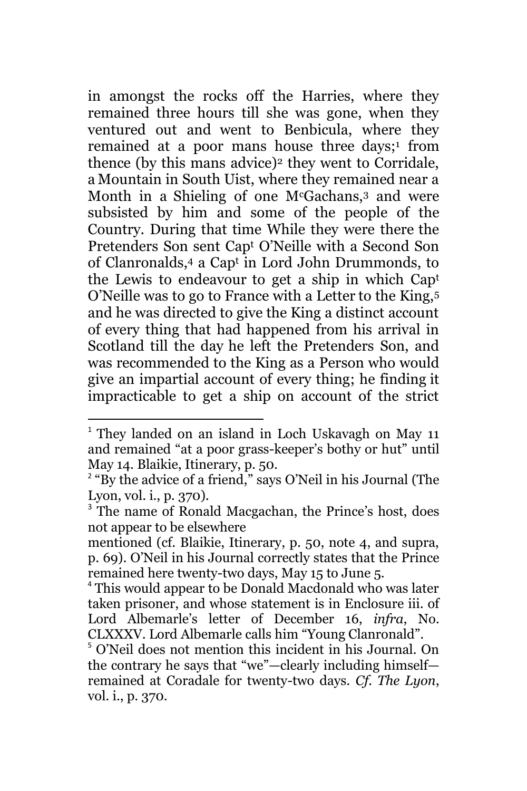in amongst the rocks off the Harries, where they remained three hours till she was gone, when they ventured out and went to Benbicula, where they remained at a poor mans house three days; 1 from thence (by this mans advice)<sup>2</sup> they went to Corridale, a Mountain in South Uist, where they remained near a Month in a Shieling of one M<sup>c</sup>Gachans,<sup>3</sup> and were subsisted by him and some of the people of the Country. During that time While they were there the Pretenders Son sent Cap<sup>t</sup> O'Neille with a Second Son of Clanronalds,<sup>4</sup> a Cap<sup>t</sup> in Lord John Drummonds, to the Lewis to endeavour to get a ship in which Cap<sup>t</sup> O'Neille was to go to France with a Letter to the King,<sup>5</sup> and he was directed to give the King a distinct account of every thing that had happened from his arrival in Scotland till the day he left the Pretenders Son, and was recommended to the King as a Person who would give an impartial account of every thing; he finding it impracticable to get a ship on account of the strict

<sup>&</sup>lt;sup>1</sup> They landed on an island in Loch Uskavagh on May 11 and remained "at a poor grass-keeper's bothy or hut" until May 14. Blaikie, Itinerary, p. 50.

<sup>&</sup>lt;sup>2</sup> "By the advice of a friend," says O'Neil in his Journal (The Lyon, vol. i., p. 370).

<sup>&</sup>lt;sup>3</sup> The name of Ronald Macgachan, the Prince's host, does not appear to be elsewhere

mentioned (cf. Blaikie, Itinerary, p. 50, note 4, and supra, p. 69). O'Neil in his Journal correctly states that the Prince remained here twenty-two days, May 15 to June 5.

<sup>4</sup> This would appear to be Donald Macdonald who was later taken prisoner, and whose statement is in Enclosure iii. of Lord Albemarle's letter of December 16, *infra*, No. CLXXXV. Lord Albemarle calls him "Young Clanronald".

<sup>5</sup> O'Neil does not mention this incident in his Journal. On the contrary he says that "we"—clearly including himself remained at Coradale for twenty-two days. *Cf. The Lyon*, vol. i., p. 370.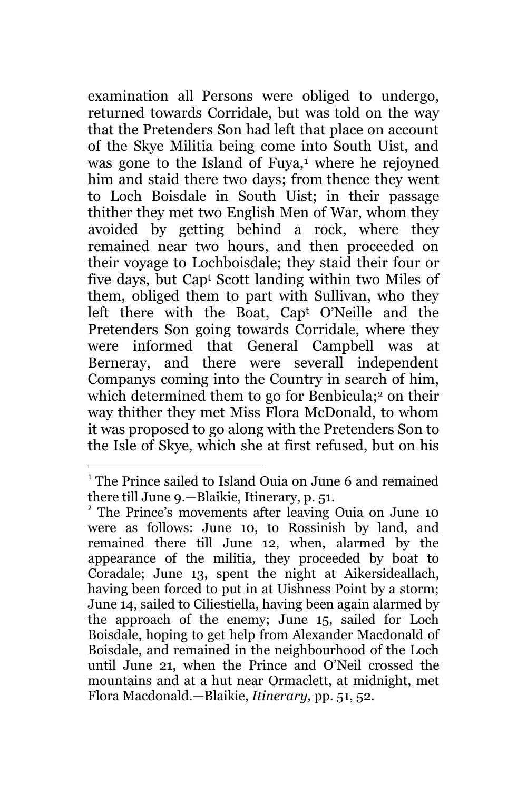examination all Persons were obliged to undergo, returned towards Corridale, but was told on the way that the Pretenders Son had left that place on account of the Skye Militia being come into South Uist, and was gone to the Island of Fuya,<sup>1</sup> where he rejoyned him and staid there two days; from thence they went to Loch Boisdale in South Uist; in their passage thither they met two English Men of War, whom they avoided by getting behind a rock, where they remained near two hours, and then proceeded on their voyage to Lochboisdale; they staid their four or five days, but Cap<sup>t</sup> Scott landing within two Miles of them, obliged them to part with Sullivan, who they left there with the Boat, Cap<sup>t</sup> O'Neille and the Pretenders Son going towards Corridale, where they were informed that General Campbell was at Berneray, and there were severall independent Companys coming into the Country in search of him, which determined them to go for Benbicula; <sup>2</sup> on their way thither they met Miss Flora McDonald, to whom it was proposed to go along with the Pretenders Son to the Isle of Skye, which she at first refused, but on his

<sup>&</sup>lt;sup>1</sup> The Prince sailed to Island Ouia on June 6 and remained there till June 9.—Blaikie, Itinerary, p. 51.

<sup>&</sup>lt;sup>2</sup> The Prince's movements after leaving Ouia on June 10 were as follows: June 10, to Rossinish by land, and remained there till June 12, when, alarmed by the appearance of the militia, they proceeded by boat to Coradale; June 13, spent the night at Aikersideallach, having been forced to put in at Uishness Point by a storm; June 14, sailed to Ciliestiella, having been again alarmed by the approach of the enemy; June 15, sailed for Loch Boisdale, hoping to get help from Alexander Macdonald of Boisdale, and remained in the neighbourhood of the Loch until June 21, when the Prince and O'Neil crossed the mountains and at a hut near Ormaclett, at midnight, met Flora Macdonald.—Blaikie, *Itinerary,* pp. 51, 52.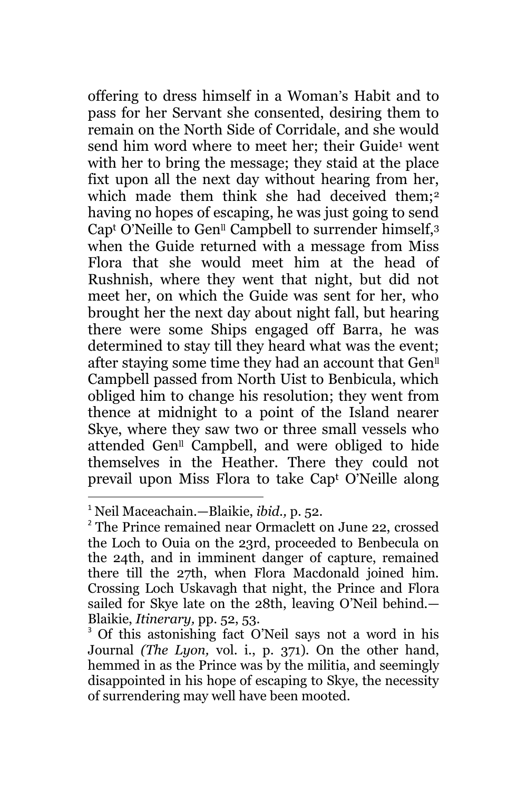offering to dress himself in a Woman's Habit and to pass for her Servant she consented, desiring them to remain on the North Side of Corridale, and she would send him word where to meet her; their Guide<sup>1</sup> went with her to bring the message; they staid at the place fixt upon all the next day without hearing from her, which made them think she had deceived them;<sup>2</sup> having no hopes of escaping, he was just going to send Capt O'Neille to Gen<sup>ll</sup> Campbell to surrender himself, $3$ when the Guide returned with a message from Miss Flora that she would meet him at the head of Rushnish, where they went that night, but did not meet her, on which the Guide was sent for her, who brought her the next day about night fall, but hearing there were some Ships engaged off Barra, he was determined to stay till they heard what was the event; after staying some time they had an account that Gen<sup>ll</sup> Campbell passed from North Uist to Benbicula, which obliged him to change his resolution; they went from thence at midnight to a point of the Island nearer Skye, where they saw two or three small vessels who attended Gen<sup>ll</sup> Campbell, and were obliged to hide themselves in the Heather. There they could not prevail upon Miss Flora to take Cap<sup>t</sup> O'Neille along

<sup>1</sup> Neil Maceachain.—Blaikie, *ibid.,* p. 52.

<sup>&</sup>lt;sup>2</sup> The Prince remained near Ormaclett on June 22, crossed the Loch to Ouia on the 23rd, proceeded to Benbecula on the 24th, and in imminent danger of capture, remained there till the 27th, when Flora Macdonald joined him. Crossing Loch Uskavagh that night, the Prince and Flora sailed for Skye late on the 28th, leaving O'Neil behind.— Blaikie, *Itinerary,* pp. 52, 53.

<sup>&</sup>lt;sup>3</sup> Of this astonishing fact O'Neil says not a word in his Journal *(The Lyon, vol. i., p. 371)*. On the other hand, hemmed in as the Prince was by the militia, and seemingly disappointed in his hope of escaping to Skye, the necessity of surrendering may well have been mooted.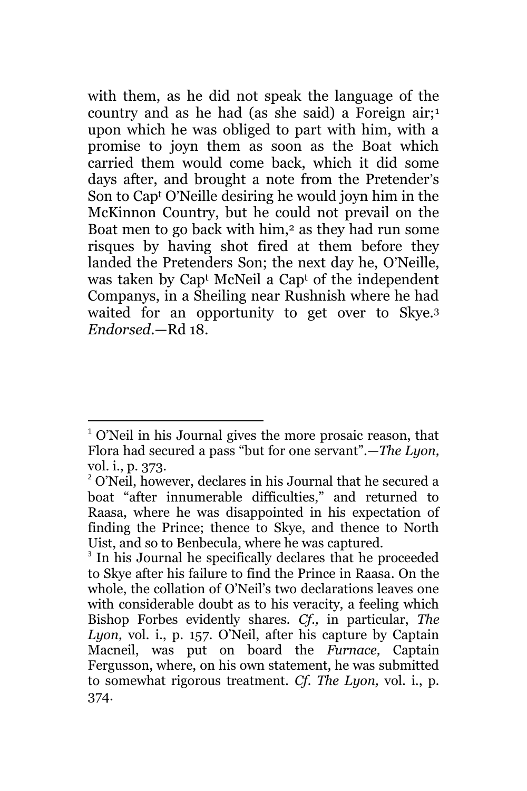with them, as he did not speak the language of the country and as he had (as she said) a Foreign air;<sup>1</sup> upon which he was obliged to part with him, with a promise to joyn them as soon as the Boat which carried them would come back, which it did some days after, and brought a note from the Pretender's Son to Cap<sup>t</sup> O'Neille desiring he would joyn him in the McKinnon Country, but he could not prevail on the Boat men to go back with him,<sup>2</sup> as they had run some risques by having shot fired at them before they landed the Pretenders Son; the next day he, O'Neille, was taken by Cap<sup>t</sup> McNeil a Cap<sup>t</sup> of the independent Companys, in a Sheiling near Rushnish where he had waited for an opportunity to get over to Skye.<sup>3</sup> *Endorsed*.—Rd 18.

<sup>1</sup> O'Neil in his Journal gives the more prosaic reason, that Flora had secured a pass "but for one servant".—*The Lyon,*  vol. i., p. 373.

<sup>&</sup>lt;sup>2</sup> O'Neil, however, declares in his Journal that he secured a boat "after innumerable difficulties," and returned to Raasa, where he was disappointed in his expectation of finding the Prince; thence to Skye, and thence to North Uist, and so to Benbecula, where he was captured.

<sup>&</sup>lt;sup>3</sup> In his Journal he specifically declares that he proceeded to Skye after his failure to find the Prince in Raasa. On the whole, the collation of O'Neil's two declarations leaves one with considerable doubt as to his veracity, a feeling which Bishop Forbes evidently shares. *Cf.,* in particular, *The Lyon,* vol. i., p. 157. O'Neil, after his capture by Captain Macneil, was put on board the *Furnace,* Captain Fergusson, where, on his own statement, he was submitted to somewhat rigorous treatment. *Cf. The Lyon,* vol. i., p. 374.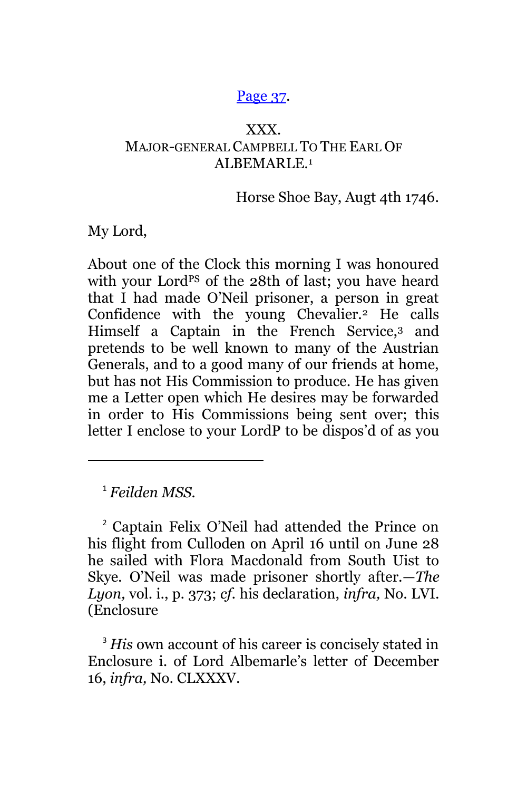#### [Page 37.](http://books.google.com/books?id=sHYuAAAAMAAJ&lpg=PA70&ots=I8wSL5XMzP&dq=%2BGartrigill&pg=PA37#v=onepage&q=+Gartrigill&f=false)

### XXX. MAJOR-GENERAL CAMPBELL TO THE EARL OF ALBEMARLE.<sup>1</sup>

Horse Shoe Bay, Augt 4th 1746.

My Lord,

About one of the Clock this morning I was honoured with your Lord<sup>PS</sup> of the 28th of last; you have heard that I had made O'Neil prisoner, a person in great Confidence with the young Chevalier.<sup>2</sup> He calls Himself a Captain in the French Service,<sup>3</sup> and pretends to be well known to many of the Austrian Generals, and to a good many of our friends at home, but has not His Commission to produce. He has given me a Letter open which He desires may be forwarded in order to His Commissions being sent over; this letter I enclose to your LordP to be dispos'd of as you

<sup>1</sup> *Feilden MSS.*

 $\overline{\phantom{a}}$ 

<sup>2</sup> Captain Felix O'Neil had attended the Prince on his flight from Culloden on April 16 until on June 28 he sailed with Flora Macdonald from South Uist to Skye. O'Neil was made prisoner shortly after.—*The Lyon,* vol. i., p. 373; *cf.* his declaration, *infra,* No. LVI. (Enclosure

<sup>3</sup> His own account of his career is concisely stated in Enclosure i. of Lord Albemarle's letter of December 16, *infra,* No. CLXXXV.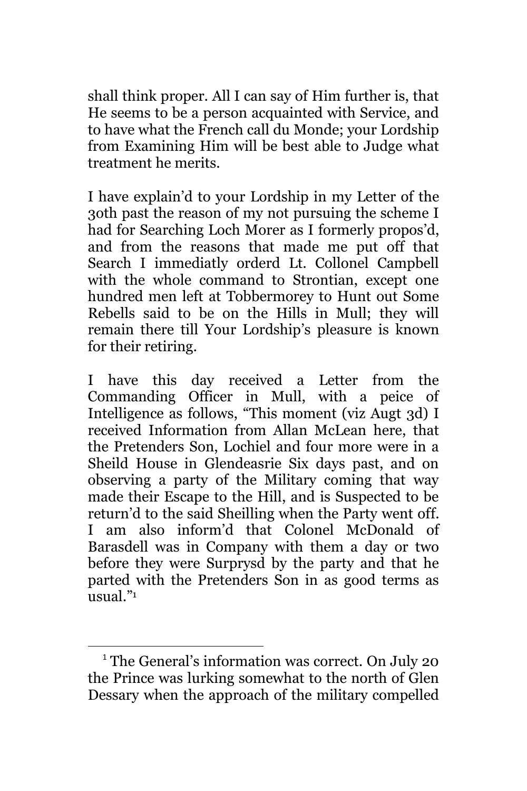shall think proper. All I can say of Him further is, that He seems to be a person acquainted with Service, and to have what the French call du Monde; your Lordship from Examining Him will be best able to Judge what treatment he merits.

I have explain'd to your Lordship in my Letter of the 3oth past the reason of my not pursuing the scheme I had for Searching Loch Morer as I formerly propos'd, and from the reasons that made me put off that Search I immediatly orderd Lt. Collonel Campbell with the whole command to Strontian, except one hundred men left at Tobbermorey to Hunt out Some Rebells said to be on the Hills in Mull; they will remain there till Your Lordship's pleasure is known for their retiring.

I have this day received a Letter from the Commanding Officer in Mull, with a peice of Intelligence as follows, "This moment (viz Augt 3d) I received Information from Allan McLean here, that the Pretenders Son, Lochiel and four more were in a Sheild House in Glendeasrie Six days past, and on observing a party of the Military coming that way made their Escape to the Hill, and is Suspected to be return'd to the said Sheilling when the Party went off. I am also inform'd that Colonel McDonald of Barasdell was in Company with them a day or two before they were Surprysd by the party and that he parted with the Pretenders Son in as good terms as usual." 1

 $\overline{\phantom{a}}$ <sup>1</sup> The General's information was correct. On July 20 the Prince was lurking somewhat to the north of Glen Dessary when the approach of the military compelled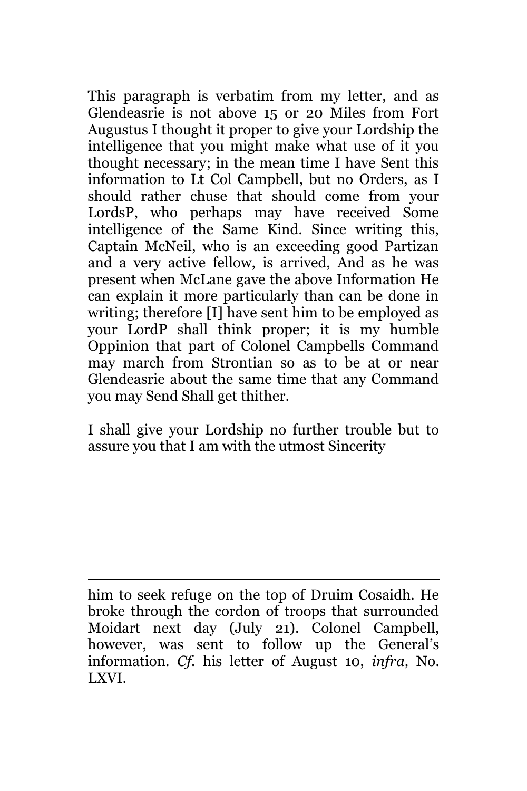This paragraph is verbatim from my letter, and as Glendeasrie is not above 15 or 20 Miles from Fort Augustus I thought it proper to give your Lordship the intelligence that you might make what use of it you thought necessary; in the mean time I have Sent this information to Lt Col Campbell, but no Orders, as I should rather chuse that should come from your LordsP, who perhaps may have received Some intelligence of the Same Kind. Since writing this, Captain McNeil, who is an exceeding good Partizan and a very active fellow, is arrived, And as he was present when McLane gave the above Information He can explain it more particularly than can be done in writing; therefore [I] have sent him to be employed as your LordP shall think proper; it is my humble Oppinion that part of Colonel Campbells Command may march from Strontian so as to be at or near Glendeasrie about the same time that any Command you may Send Shall get thither.

I shall give your Lordship no further trouble but to assure you that I am with the utmost Sincerity

 $\overline{\phantom{a}}$ him to seek refuge on the top of Druim Cosaidh. He broke through the cordon of troops that surrounded Moidart next day (July 21). Colonel Campbell, however, was sent to follow up the General's information. *Cf.* his letter of August 10, *infra,* No. LXVI.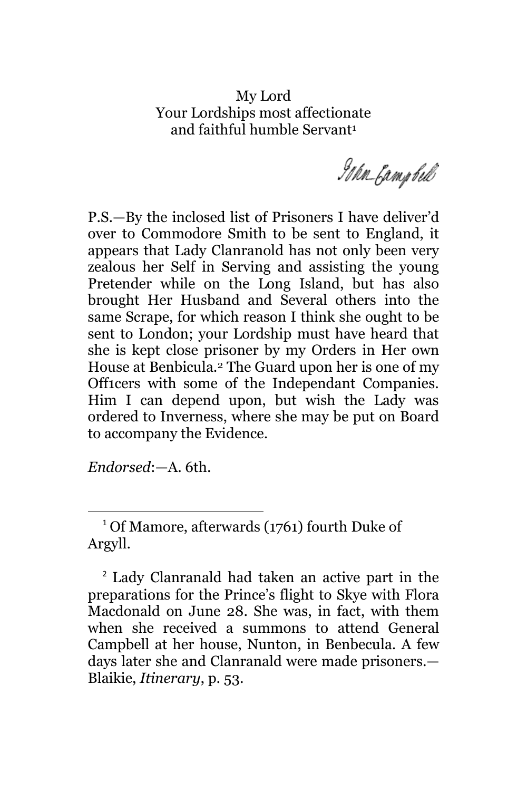### My Lord Your Lordships most affectionate and faithful humble Servant<sup>1</sup>

Idan Gampbell

P.S.—By the inclosed list of Prisoners I have deliver'd over to Commodore Smith to be sent to England, it appears that Lady Clanranold has not only been very zealous her Self in Serving and assisting the young Pretender while on the Long Island, but has also brought Her Husband and Several others into the same Scrape, for which reason I think she ought to be sent to London; your Lordship must have heard that she is kept close prisoner by my Orders in Her own House at Benbicula.<sup>2</sup> The Guard upon her is one of my Off1cers with some of the Independant Companies. Him I can depend upon, but wish the Lady was ordered to Inverness, where she may be put on Board to accompany the Evidence.

*Endorsed*:—A. 6th.

<sup>1</sup> Of Mamore, afterwards (1761) fourth Duke of Argyll.

<sup>2</sup> Lady Clanranald had taken an active part in the preparations for the Prince's flight to Skye with Flora Macdonald on June 28. She was, in fact, with them when she received a summons to attend General Campbell at her house, Nunton, in Benbecula. A few days later she and Clanranald were made prisoners.— Blaikie, *Itinerary*, p. 53.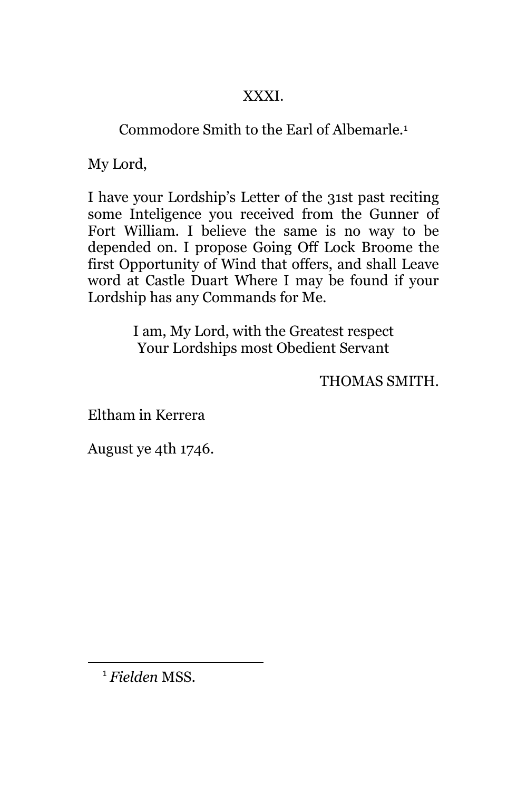## XXXI.

# Commodore Smith to the Earl of Albemarle.<sup>1</sup>

My Lord,

I have your Lordship's Letter of the 31st past reciting some Inteligence you received from the Gunner of Fort William. I believe the same is no way to be depended on. I propose Going Off Lock Broome the first Opportunity of Wind that offers, and shall Leave word at Castle Duart Where I may be found if your Lordship has any Commands for Me.

> I am, My Lord, with the Greatest respect Your Lordships most Obedient Servant

> > THOMAS SMITH.

Eltham in Kerrera

August ye 4th 1746.

<sup>1</sup> *Fielden* MSS.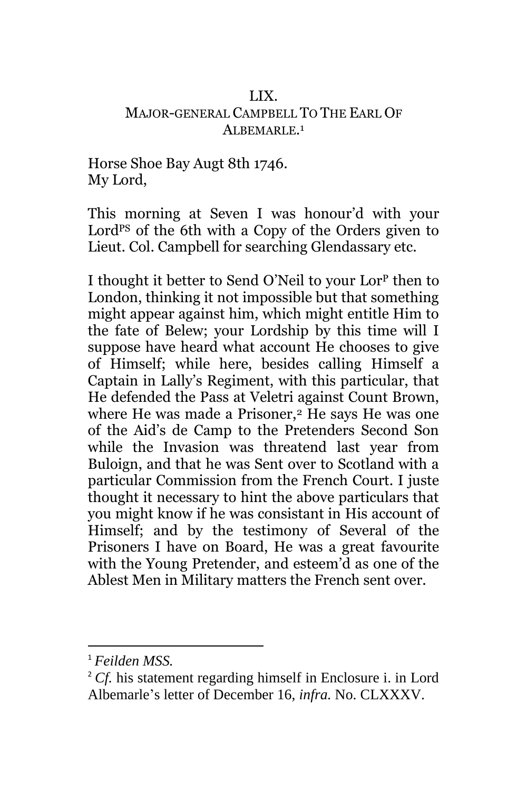#### LIX. MAJOR-GENERAL CAMPBELL TO THE EARL OF ALBEMARLE.<sup>1</sup>

Horse Shoe Bay Augt 8th 1746. My Lord,

This morning at Seven I was honour'd with your Lord<sup>PS</sup> of the 6th with a Copy of the Orders given to Lieut. Col. Campbell for searching Glendassary etc.

I thought it better to Send O'Neil to your Lor<sup>p</sup> then to London, thinking it not impossible but that something might appear against him, which might entitle Him to the fate of Belew; your Lordship by this time will I suppose have heard what account He chooses to give of Himself; while here, besides calling Himself a Captain in Lally's Regiment, with this particular, that He defended the Pass at Veletri against Count Brown, where He was made a Prisoner,<sup>2</sup> He says He was one of the Aid's de Camp to the Pretenders Second Son while the Invasion was threatend last year from Buloign, and that he was Sent over to Scotland with a particular Commission from the French Court. I juste thought it necessary to hint the above particulars that you might know if he was consistant in His account of Himself; and by the testimony of Several of the Prisoners I have on Board, He was a great favourite with the Young Pretender, and esteem'd as one of the Ablest Men in Military matters the French sent over.

<sup>1</sup> *Feilden MSS.*

<sup>&</sup>lt;sup>2</sup> *Cf.* his statement regarding himself in Enclosure i. in Lord Albemarle's letter of December 16, *infra.* No. CLXXXV.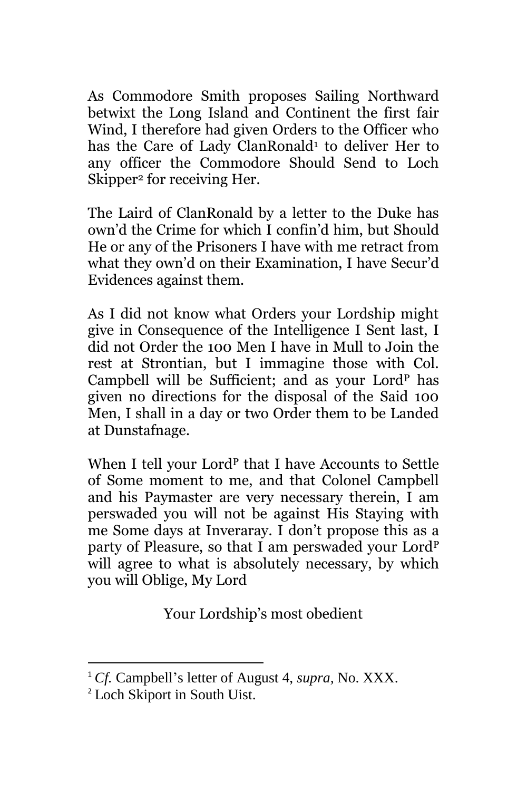As Commodore Smith proposes Sailing Northward betwixt the Long Island and Continent the first fair Wind, I therefore had given Orders to the Officer who has the Care of Lady ClanRonald<sup>1</sup> to deliver Her to any officer the Commodore Should Send to Loch Skipper<sup>2</sup> for receiving Her.

The Laird of ClanRonald by a letter to the Duke has own'd the Crime for which I confin'd him, but Should He or any of the Prisoners I have with me retract from what they own'd on their Examination, I have Secur'd Evidences against them.

As I did not know what Orders your Lordship might give in Consequence of the Intelligence I Sent last, I did not Order the 100 Men I have in Mull to Join the rest at Strontian, but I immagine those with Col. Campbell will be Sufficient; and as your Lord<sup>P</sup> has given no directions for the disposal of the Said 100 Men, I shall in a day or two Order them to be Landed at Dunstafnage.

When I tell your Lord<sup>P</sup> that I have Accounts to Settle of Some moment to me, and that Colonel Campbell and his Paymaster are very necessary therein, I am perswaded you will not be against His Staying with me Some days at Inveraray. I don't propose this as a party of Pleasure, so that I am perswaded your Lord<sup>P</sup> will agree to what is absolutely necessary, by which you will Oblige, My Lord

Your Lordship's most obedient

<sup>1</sup> *Cf.* Campbell's letter of August 4, *supra,* No. XXX.

<sup>2</sup> Loch Skiport in South Uist.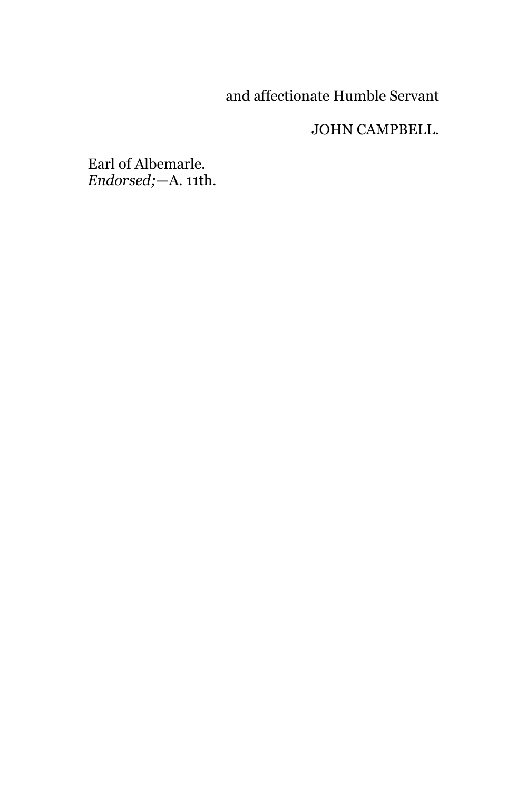# and affectionate Humble Servant

## JOHN CAMPBELL.

Earl of Albemarle. *Endorsed;*—A. 11th.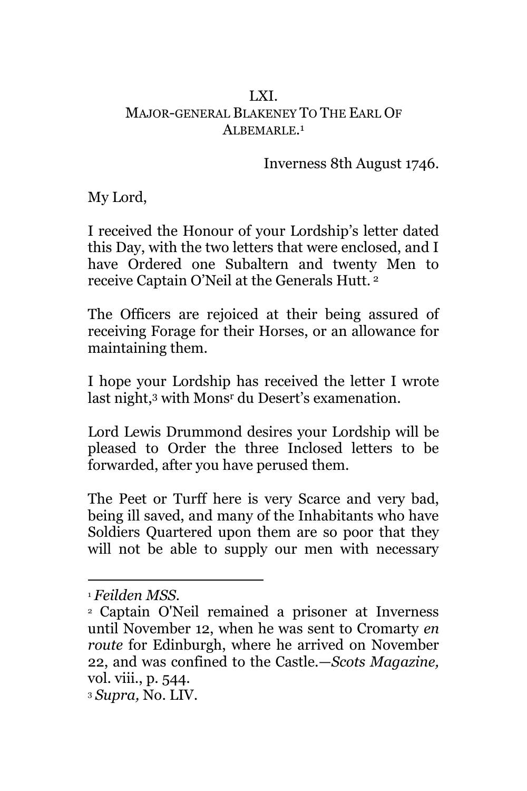### LXI. MAJOR-GENERAL BLAKENEY TO THE EARL OF ALBEMARLE.<sup>1</sup>

Inverness 8th August 1746.

My Lord,

I received the Honour of your Lordship's letter dated this Day, with the two letters that were enclosed, and I have Ordered one Subaltern and twenty Men to receive Captain O'Neil at the Generals Hutt. <sup>2</sup>

The Officers are rejoiced at their being assured of receiving Forage for their Horses, or an allowance for maintaining them.

I hope your Lordship has received the letter I wrote last night,<sup>3</sup> with Mons<sup>r</sup> du Desert's examenation.

Lord Lewis Drummond desires your Lordship will be pleased to Order the three Inclosed letters to be forwarded, after you have perused them.

The Peet or Turff here is very Scarce and very bad, being ill saved, and many of the Inhabitants who have Soldiers Quartered upon them are so poor that they will not be able to supply our men with necessary

 $\overline{\phantom{a}}$ <sup>1</sup> *Feilden MSS.*

<sup>2</sup> Captain O'Neil remained a prisoner at Inverness until November 12, when he was sent to Cromarty *en route* for Edinburgh, where he arrived on November 22, and was confined to the Castle.—*Scots Magazine,*  vol. viii., p. 544.

<sup>3</sup> *Supra,* No. LIV.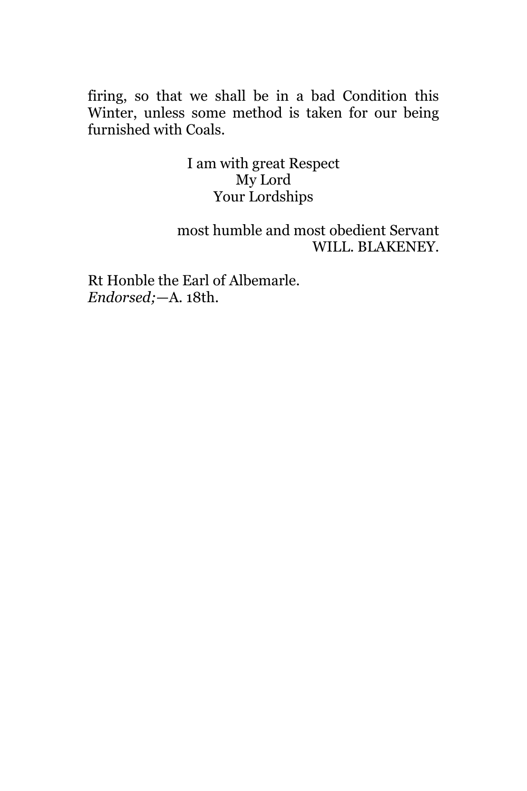firing, so that we shall be in a bad Condition this Winter, unless some method is taken for our being furnished with Coals.

> I am with great Respect My Lord Your Lordships

most humble and most obedient Servant WILL. BLAKENEY.

Rt Honble the Earl of Albemarle. *Endorsed;*—A. 18th.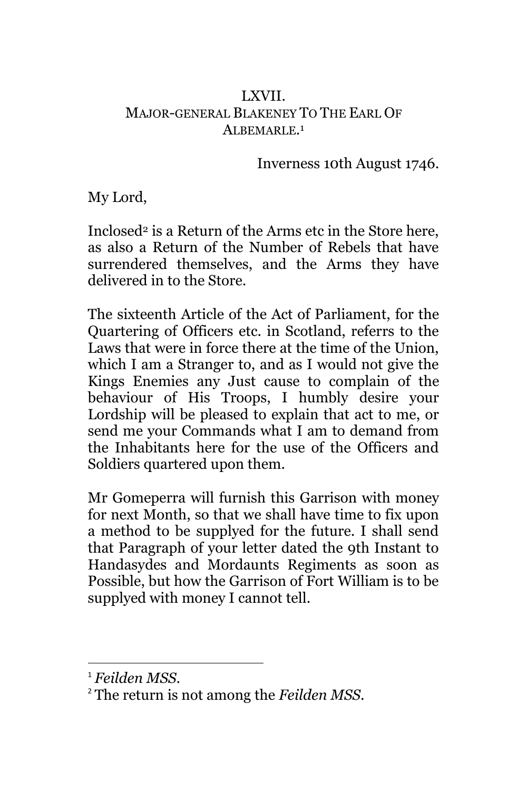### LXVII. MAJOR-GENERAL BLAKENEY TO THE EARL OF ALBEMARLE.<sup>1</sup>

Inverness 10th August 1746.

My Lord,

Inclosed<sup>2</sup> is a Return of the Arms etc in the Store here, as also a Return of the Number of Rebels that have surrendered themselves, and the Arms they have delivered in to the Store.

The sixteenth Article of the Act of Parliament, for the Quartering of Officers etc. in Scotland, referrs to the Laws that were in force there at the time of the Union, which I am a Stranger to, and as I would not give the Kings Enemies any Just cause to complain of the behaviour of His Troops, I humbly desire your Lordship will be pleased to explain that act to me, or send me your Commands what I am to demand from the Inhabitants here for the use of the Officers and Soldiers quartered upon them.

Mr Gomeperra will furnish this Garrison with money for next Month, so that we shall have time to fix upon a method to be supplyed for the future. I shall send that Paragraph of your letter dated the 9th Instant to Handasydes and Mordaunts Regiments as soon as Possible, but how the Garrison of Fort William is to be supplyed with money I cannot tell.

<sup>1</sup> *Feilden MSS.*

<sup>2</sup> The return is not among the *Feilden MSS.*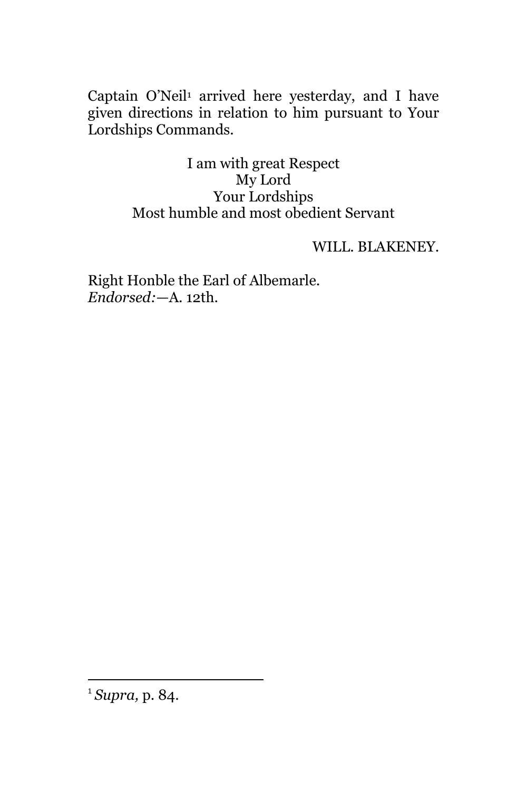Captain O'Neil<sup>1</sup> arrived here yesterday, and I have given directions in relation to him pursuant to Your Lordships Commands.

> I am with great Respect My Lord Your Lordships Most humble and most obedient Servant

## WILL. BLAKENEY.

Right Honble the Earl of Albemarle. *Endorsed:*—A. 12th.

<sup>1</sup> *Supra,* p. 84.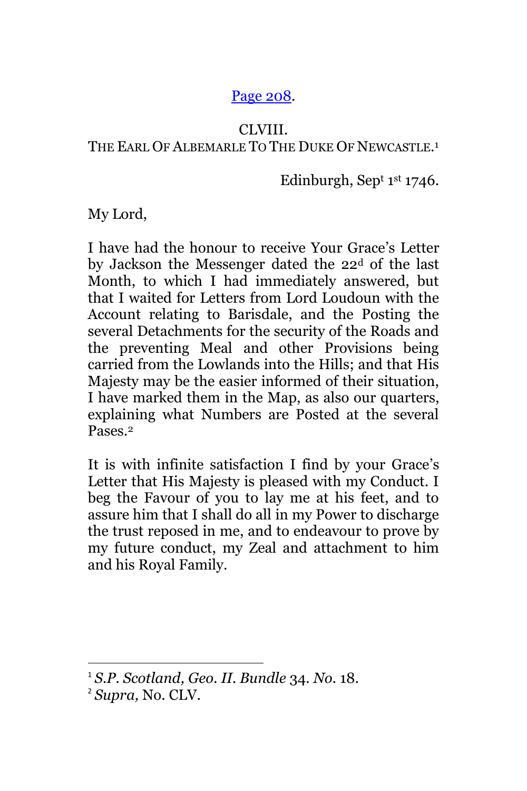## [Page 208.](http://books.google.com/books?id=sHYuAAAAMAAJ&lpg=PA70&ots=I8wSL5XMzP&dq=%2BGartrigill&pg=PA208#v=onepage&q=o%E2%80%99neil&f=false)

#### CLVIII.

## THE EARL OF ALBEMARLE TO THE DUKE OF NEWCASTLE.<sup>1</sup>

Edinburgh, Sep<sup>t 1st</sup> 1746.

My Lord,

I have had the honour to receive Your Grace's Letter by Jackson the Messenger dated the 22<sup>d</sup> of the last Month, to which I had immediately answered, but that I waited for Letters from Lord Loudoun with the Account relating to Barisdale, and the Posting the several Detachments for the security of the Roads and the preventing Meal and other Provisions being carried from the Lowlands into the Hills; and that His Majesty may be the easier informed of their situation, I have marked them in the Map, as also our quarters, explaining what Numbers are Posted at the several Pases.<sup>2</sup>

It is with infinite satisfaction I find by your Grace's Letter that His Majesty is pleased with my Conduct. I beg the Favour of you to lay me at his feet, and to assure him that I shall do all in my Power to discharge the trust reposed in me, and to endeavour to prove by my future conduct, my Zeal and attachment to him and his Royal Family.

<sup>1</sup> *S.P. Scotland, Geo. II. Bundle* 34. *No.* 18.

<sup>2</sup> *Supra,* No. CLV.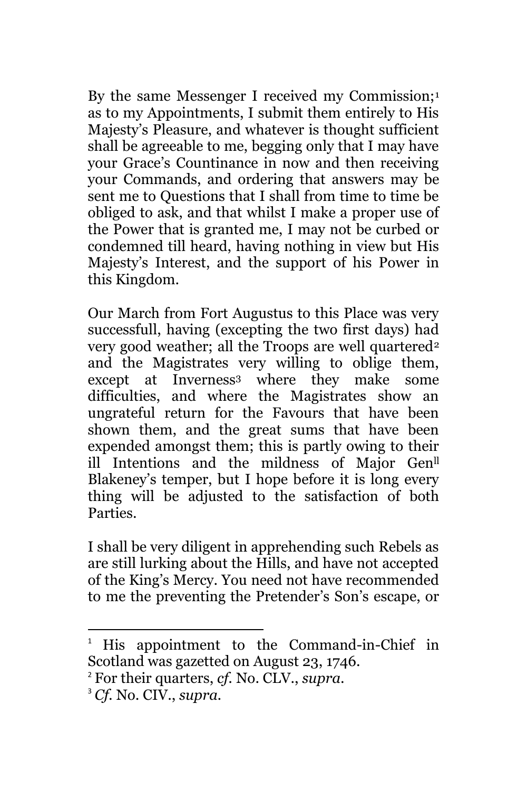By the same Messenger I received my Commission;<sup>1</sup> as to my Appointments, I submit them entirely to His Majesty's Pleasure, and whatever is thought sufficient shall be agreeable to me, begging only that I may have your Grace's Countinance in now and then receiving your Commands, and ordering that answers may be sent me to Questions that I shall from time to time be obliged to ask, and that whilst I make a proper use of the Power that is granted me, I may not be curbed or condemned till heard, having nothing in view but His Majesty's Interest, and the support of his Power in this Kingdom.

Our March from Fort Augustus to this Place was very successfull, having (excepting the two first days) had very good weather; all the Troops are well quartered<sup>2</sup> and the Magistrates very willing to oblige them, except at Inverness<sup>3</sup> where they make some difficulties, and where the Magistrates show an ungrateful return for the Favours that have been shown them, and the great sums that have been expended amongst them; this is partly owing to their ill Intentions and the mildness of Major Genll Blakeney's temper, but I hope before it is long every thing will be adjusted to the satisfaction of both Parties.

I shall be very diligent in apprehending such Rebels as are still lurking about the Hills, and have not accepted of the King's Mercy. You need not have recommended to me the preventing the Pretender's Son's escape, or

<sup>1</sup> His appointment to the Command-in-Chief in Scotland was gazetted on August 23, 1746.

<sup>2</sup> For their quarters, *cf.* No. CLV., *supra.*

<sup>3</sup> *Cf.* No. CIV., *supra.*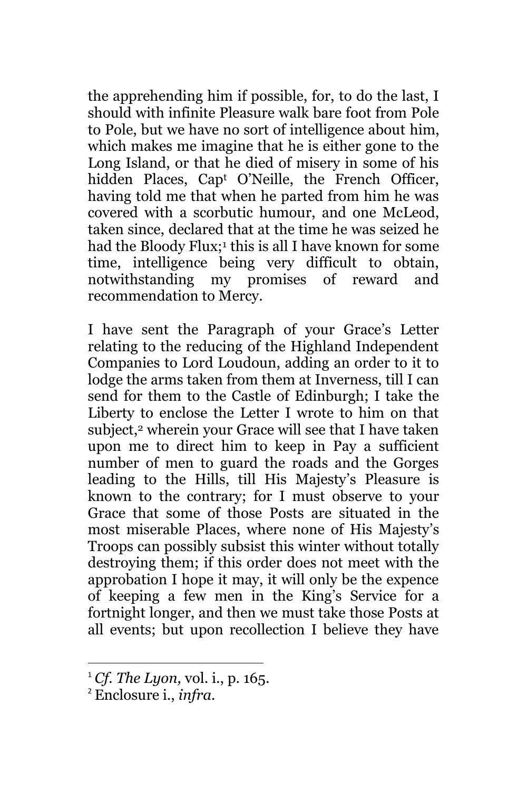the apprehending him if possible, for, to do the last, I should with infinite Pleasure walk bare foot from Pole to Pole, but we have no sort of intelligence about him, which makes me imagine that he is either gone to the Long Island, or that he died of misery in some of his hidden Places, Cap<sup>t</sup> O'Neille, the French Officer, having told me that when he parted from him he was covered with a scorbutic humour, and one McLeod, taken since, declared that at the time he was seized he had the Bloody Flux; <sup>1</sup> this is all I have known for some time, intelligence being very difficult to obtain, notwithstanding my promises of reward and recommendation to Mercy.

I have sent the Paragraph of your Grace's Letter relating to the reducing of the Highland Independent Companies to Lord Loudoun, adding an order to it to lodge the arms taken from them at Inverness, till I can send for them to the Castle of Edinburgh; I take the Liberty to enclose the Letter I wrote to him on that subject,<sup>2</sup> wherein your Grace will see that I have taken upon me to direct him to keep in Pay a sufficient number of men to guard the roads and the Gorges leading to the Hills, till His Majesty's Pleasure is known to the contrary; for I must observe to your Grace that some of those Posts are situated in the most miserable Places, where none of His Majesty's Troops can possibly subsist this winter without totally destroying them; if this order does not meet with the approbation I hope it may, it will only be the expence of keeping a few men in the King's Service for a fortnight longer, and then we must take those Posts at all events; but upon recollection I believe they have

<sup>1</sup> *Cf. The Lyon,* vol. i., p. 165.

<sup>2</sup> Enclosure i., *infra.*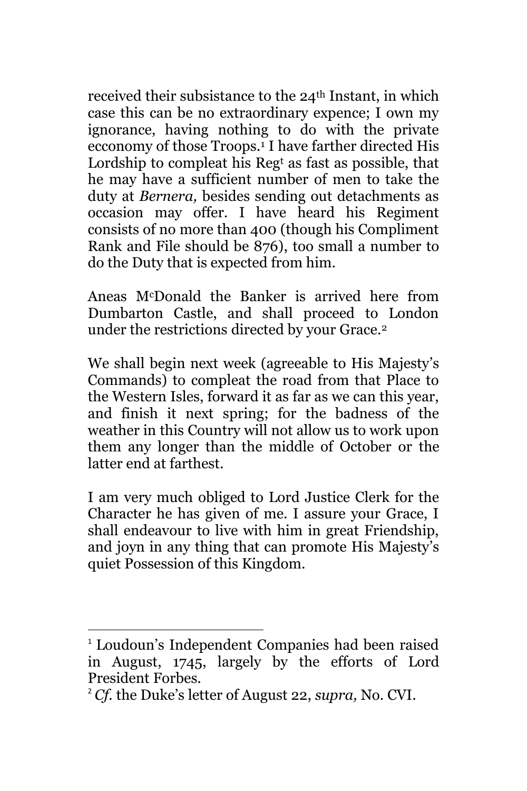received their subsistance to the 24<sup>th</sup> Instant, in which case this can be no extraordinary expence; I own my ignorance, having nothing to do with the private ecconomy of those Troops.<sup>1</sup> I have farther directed His Lordship to compleat his Reg<sup>t</sup> as fast as possible, that he may have a sufficient number of men to take the duty at *Bernera,* besides sending out detachments as occasion may offer. I have heard his Regiment consists of no more than 400 (though his Compliment Rank and File should be 876), too small a number to do the Duty that is expected from him.

Aneas McDonald the Banker is arrived here from Dumbarton Castle, and shall proceed to London under the restrictions directed by your Grace.<sup>2</sup>

We shall begin next week (agreeable to His Majesty's Commands) to compleat the road from that Place to the Western Isles, forward it as far as we can this year, and finish it next spring; for the badness of the weather in this Country will not allow us to work upon them any longer than the middle of October or the latter end at farthest.

I am very much obliged to Lord Justice Clerk for the Character he has given of me. I assure your Grace, I shall endeavour to live with him in great Friendship, and joyn in any thing that can promote His Majesty's quiet Possession of this Kingdom.

<sup>1</sup> Loudoun's Independent Companies had been raised in August, 1745, largely by the efforts of Lord President Forbes.

<sup>2</sup> *Cf.* the Duke's letter of August 22, *supra,* No. CVI.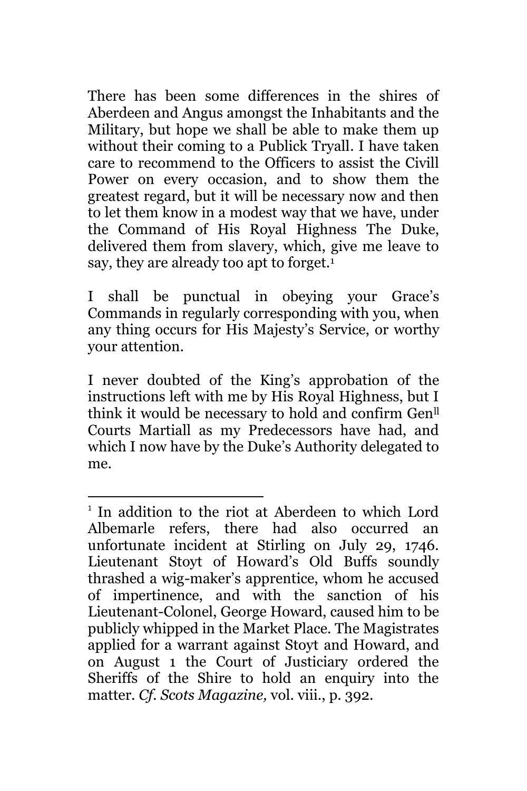There has been some differences in the shires of Aberdeen and Angus amongst the Inhabitants and the Military, but hope we shall be able to make them up without their coming to a Publick Tryall. I have taken care to recommend to the Officers to assist the Civill Power on every occasion, and to show them the greatest regard, but it will be necessary now and then to let them know in a modest way that we have, under the Command of His Royal Highness The Duke, delivered them from slavery, which, give me leave to say, they are already too apt to forget.<sup>1</sup>

I shall be punctual in obeying your Grace's Commands in regularly corresponding with you, when any thing occurs for His Majesty's Service, or worthy your attention.

I never doubted of the King's approbation of the instructions left with me by His Royal Highness, but I think it would be necessary to hold and confirm Genll Courts Martiall as my Predecessors have had, and which I now have by the Duke's Authority delegated to me.

<sup>&</sup>lt;sup>1</sup> In addition to the riot at Aberdeen to which Lord Albemarle refers, there had also occurred an unfortunate incident at Stirling on July 29, 1746. Lieutenant Stoyt of Howard's Old Buffs soundly thrashed a wig-maker's apprentice, whom he accused of impertinence, and with the sanction of his Lieutenant-Colonel, George Howard, caused him to be publicly whipped in the Market Place. The Magistrates applied for a warrant against Stoyt and Howard, and on August 1 the Court of Justiciary ordered the Sheriffs of the Shire to hold an enquiry into the matter. *Cf. Scots Magazine,* vol. viii., p. 392.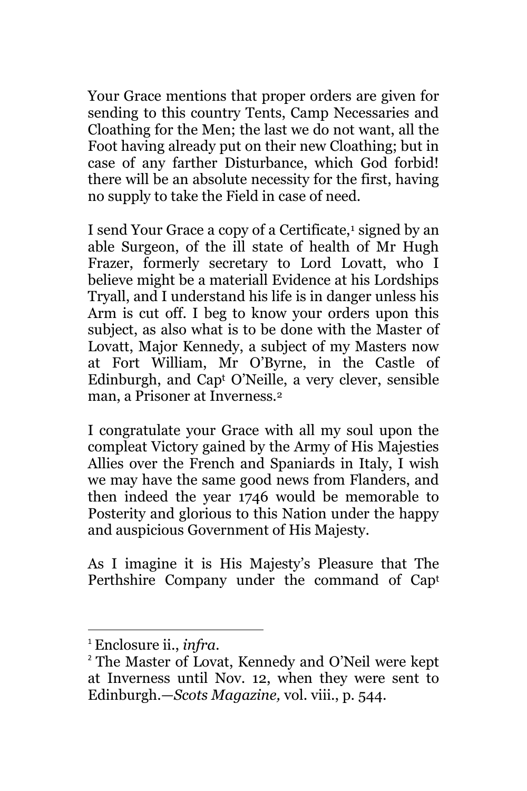Your Grace mentions that proper orders are given for sending to this country Tents, Camp Necessaries and Cloathing for the Men; the last we do not want, all the Foot having already put on their new Cloathing; but in case of any farther Disturbance, which God forbid! there will be an absolute necessity for the first, having no supply to take the Field in case of need.

I send Your Grace a copy of a Certificate,<sup>1</sup> signed by an able Surgeon, of the ill state of health of Mr Hugh Frazer, formerly secretary to Lord Lovatt, who I believe might be a materiall Evidence at his Lordships Tryall, and I understand his life is in danger unless his Arm is cut off. I beg to know your orders upon this subject, as also what is to be done with the Master of Lovatt, Major Kennedy, a subject of my Masters now at Fort William, Mr O'Byrne, in the Castle of Edinburgh, and Cap<sup>t</sup> O'Neille, a very clever, sensible man, a Prisoner at Inverness.<sup>2</sup>

I congratulate your Grace with all my soul upon the compleat Victory gained by the Army of His Majesties Allies over the French and Spaniards in Italy, I wish we may have the same good news from Flanders, and then indeed the year 1746 would be memorable to Posterity and glorious to this Nation under the happy and auspicious Government of His Majesty.

As I imagine it is His Majesty's Pleasure that The Perthshire Company under the command of Cap<sup>t</sup>

<sup>1</sup> Enclosure ii., *infra.*

<sup>2</sup> The Master of Lovat, Kennedy and O'Neil were kept at Inverness until Nov. 12, when they were sent to Edinburgh.—*Scots Magazine,* vol. viii., p. 544.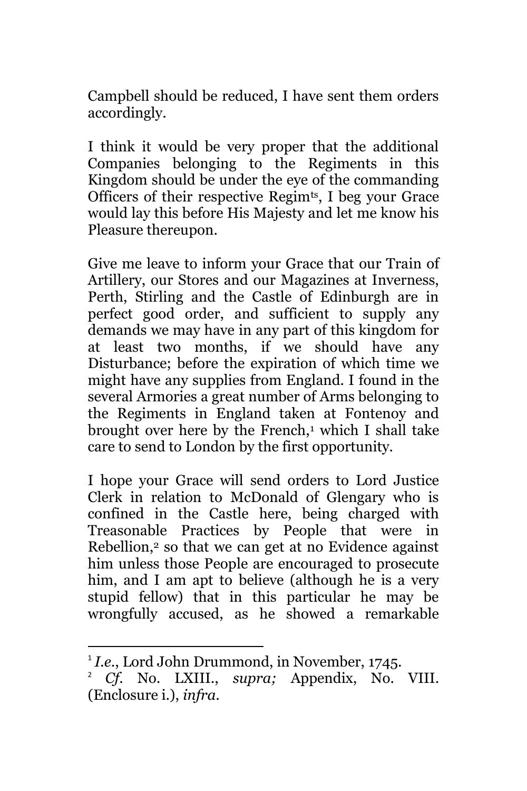Campbell should be reduced, I have sent them orders accordingly.

I think it would be very proper that the additional Companies belonging to the Regiments in this Kingdom should be under the eye of the commanding Officers of their respective Regim<sup>ts</sup>, I beg your Grace would lay this before His Majesty and let me know his Pleasure thereupon.

Give me leave to inform your Grace that our Train of Artillery, our Stores and our Magazines at Inverness, Perth, Stirling and the Castle of Edinburgh are in perfect good order, and sufficient to supply any demands we may have in any part of this kingdom for at least two months, if we should have any Disturbance; before the expiration of which time we might have any supplies from England. I found in the several Armories a great number of Arms belonging to the Regiments in England taken at Fontenoy and brought over here by the French,<sup>1</sup> which I shall take care to send to London by the first opportunity.

I hope your Grace will send orders to Lord Justice Clerk in relation to McDonald of Glengary who is confined in the Castle here, being charged with Treasonable Practices by People that were in Rebellion,<sup>2</sup> so that we can get at no Evidence against him unless those People are encouraged to prosecute him, and I am apt to believe (although he is a very stupid fellow) that in this particular he may be wrongfully accused, as he showed a remarkable

<sup>&</sup>lt;sup>1</sup> I.e., Lord John Drummond, in November, 1745.

<sup>2</sup> *Cf*. No. LXIII., *supra;* Appendix, No. VIII. (Enclosure i.), *infra.*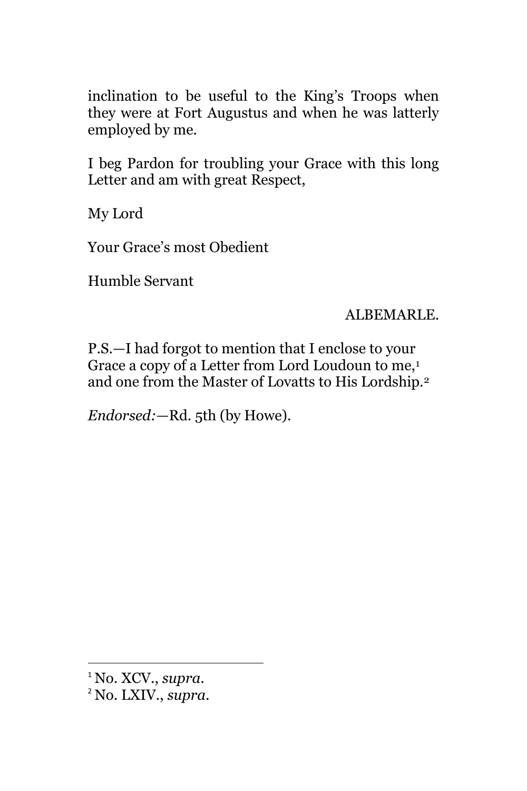inclination to be useful to the King's Troops when they were at Fort Augustus and when he was latterly employed by me.

I beg Pardon for troubling your Grace with this long Letter and am with great Respect,

My Lord

Your Grace's most Obedient

Humble Servant

ALBEMARLE.

P.S.—I had forgot to mention that I enclose to your Grace a copy of a Letter from Lord Loudoun to me,<sup>1</sup> and one from the Master of Lovatts to His Lordship.<sup>2</sup>

*Endorsed:*—Rd. 5th (by Howe).

<sup>1</sup> No. XCV., *supra.*

<sup>2</sup> No. LXIV., *supra.*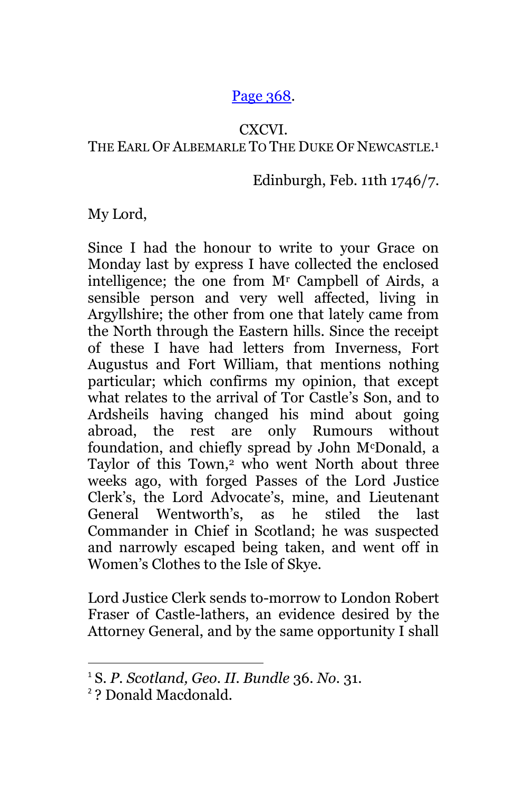## [Page 368.](http://books.google.com/books?id=sHYuAAAAMAAJ&lpg=PA70&ots=I8wSL5XMzP&dq=%2BGartrigill&pg=PA368#v=onepage&q=+Gartrigill&f=false)

### CXCVI.

## THE EARL OF ALBEMARLE TO THE DUKE OF NEWCASTLE.<sup>1</sup>

## Edinburgh, Feb. 11th 1746/7.

My Lord,

Since I had the honour to write to your Grace on Monday last by express I have collected the enclosed intelligence; the one from M<sup>r</sup> Campbell of Airds, a sensible person and very well affected, living in Argyllshire; the other from one that lately came from the North through the Eastern hills. Since the receipt of these I have had letters from Inverness, Fort Augustus and Fort William, that mentions nothing particular; which confirms my opinion, that except what relates to the arrival of Tor Castle's Son, and to Ardsheils having changed his mind about going abroad, the rest are only Rumours without foundation, and chiefly spread by John McDonald, a Taylor of this Town,<sup>2</sup> who went North about three weeks ago, with forged Passes of the Lord Justice Clerk's, the Lord Advocate's, mine, and Lieutenant General Wentworth's, as he stiled the last Commander in Chief in Scotland; he was suspected and narrowly escaped being taken, and went off in Women's Clothes to the Isle of Skye.

Lord Justice Clerk sends to-morrow to London Robert Fraser of Castle-lathers, an evidence desired by the Attorney General, and by the same opportunity I shall

<sup>1</sup> S. *P. Scotland, Geo. II. Bundle* 36. *No.* 31.

<sup>2</sup> ? Donald Macdonald.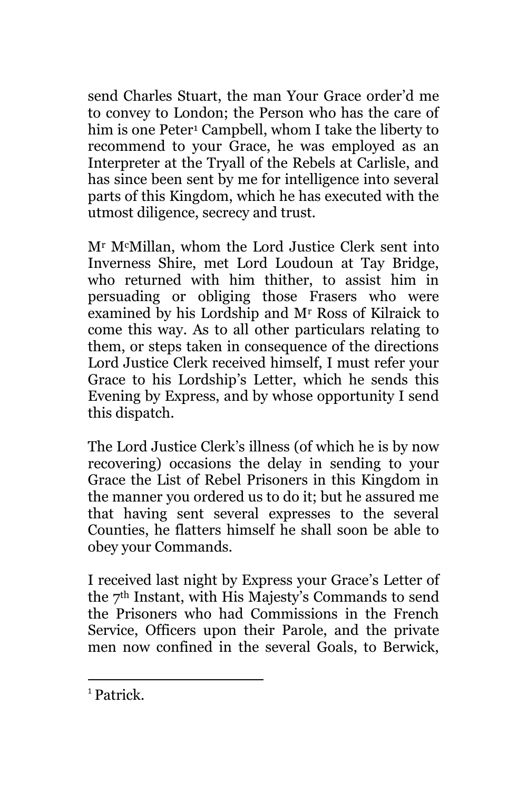send Charles Stuart, the man Your Grace order'd me to convey to London; the Person who has the care of him is one Peter<sup>1</sup> Campbell, whom I take the liberty to recommend to your Grace, he was employed as an Interpreter at the Tryall of the Rebels at Carlisle, and has since been sent by me for intelligence into several parts of this Kingdom, which he has executed with the utmost diligence, secrecy and trust.

M<sup>r</sup> McMillan, whom the Lord Justice Clerk sent into Inverness Shire, met Lord Loudoun at Tay Bridge, who returned with him thither, to assist him in persuading or obliging those Frasers who were examined by his Lordship and M<sup>r</sup> Ross of Kilraick to come this way. As to all other particulars relating to them, or steps taken in consequence of the directions Lord Justice Clerk received himself, I must refer your Grace to his Lordship's Letter, which he sends this Evening by Express, and by whose opportunity I send this dispatch.

The Lord Justice Clerk's illness (of which he is by now recovering) occasions the delay in sending to your Grace the List of Rebel Prisoners in this Kingdom in the manner you ordered us to do it; but he assured me that having sent several expresses to the several Counties, he flatters himself he shall soon be able to obey your Commands.

I received last night by Express your Grace's Letter of the 7th Instant, with His Majesty's Commands to send the Prisoners who had Commissions in the French Service, Officers upon their Parole, and the private men now confined in the several Goals, to Berwick,

<sup>1</sup> Patrick.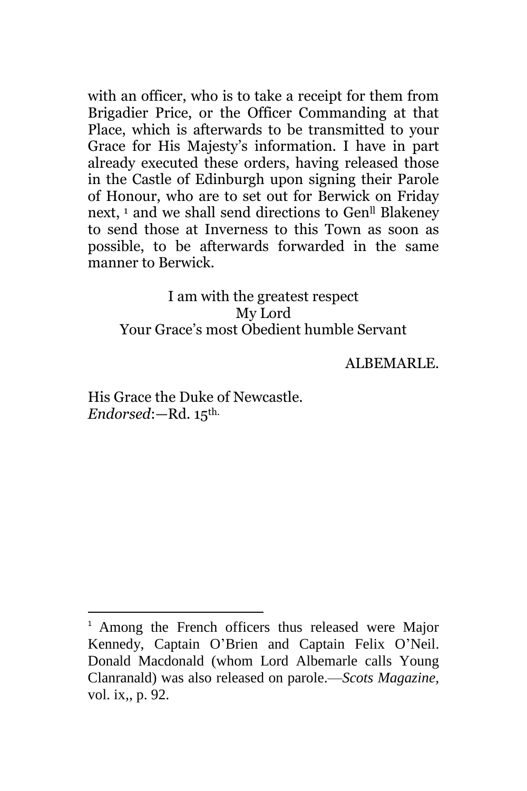with an officer, who is to take a receipt for them from Brigadier Price, or the Officer Commanding at that Place, which is afterwards to be transmitted to your Grace for His Majesty's information. I have in part already executed these orders, having released those in the Castle of Edinburgh upon signing their Parole of Honour, who are to set out for Berwick on Friday next, <sup>1</sup> and we shall send directions to Gen<sup>ll</sup> Blakeney to send those at Inverness to this Town as soon as possible, to be afterwards forwarded in the same manner to Berwick.

## I am with the greatest respect My Lord Your Grace's most Obedient humble Servant

ALBEMARLE.

His Grace the Duke of Newcastle. *Endorsed*:—Rd. 15th.

<sup>&</sup>lt;sup>1</sup> Among the French officers thus released were Major Kennedy, Captain O'Brien and Captain Felix O'Neil. Donald Macdonald (whom Lord Albemarle calls Young Clanranald) was also released on parole.—*Scots Magazine,*  vol. ix,, p. 92.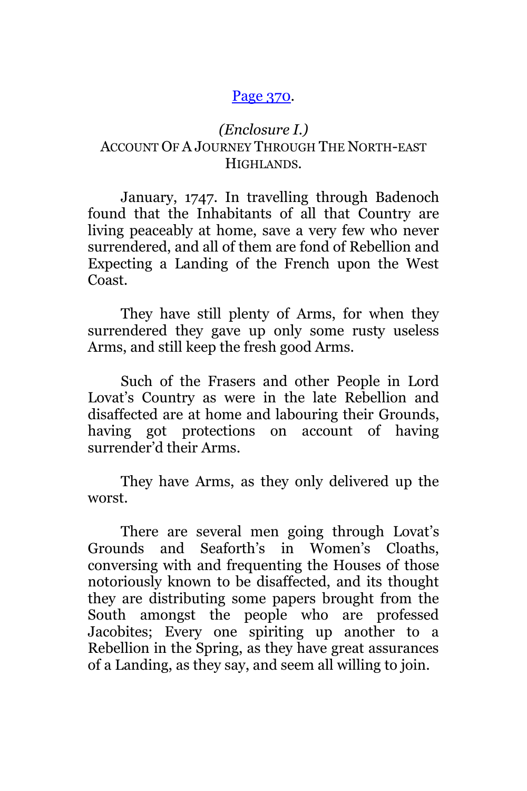#### [Page 370](http://books.google.com/books?id=sHYuAAAAMAAJ&lpg=PA70&ots=I8wSL5XMzP&dq=%2BGartrigill&pg=PA370#v=onepage&q=+Gartrigill&f=false)*.*

## *(Enclosure I.)* ACCOUNT OF A JOURNEY THROUGH THE NORTH-EAST HIGHLANDS.

January, 1747. In travelling through Badenoch found that the Inhabitants of all that Country are living peaceably at home, save a very few who never surrendered, and all of them are fond of Rebellion and Expecting a Landing of the French upon the West Coast.

They have still plenty of Arms, for when they surrendered they gave up only some rusty useless Arms, and still keep the fresh good Arms.

Such of the Frasers and other People in Lord Lovat's Country as were in the late Rebellion and disaffected are at home and labouring their Grounds, having got protections on account of having surrender'd their Arms.

They have Arms, as they only delivered up the worst.

There are several men going through Lovat's Grounds and Seaforth's in Women's Cloaths, conversing with and frequenting the Houses of those notoriously known to be disaffected, and its thought they are distributing some papers brought from the South amongst the people who are professed Jacobites; Every one spiriting up another to a Rebellion in the Spring, as they have great assurances of a Landing, as they say, and seem all willing to join.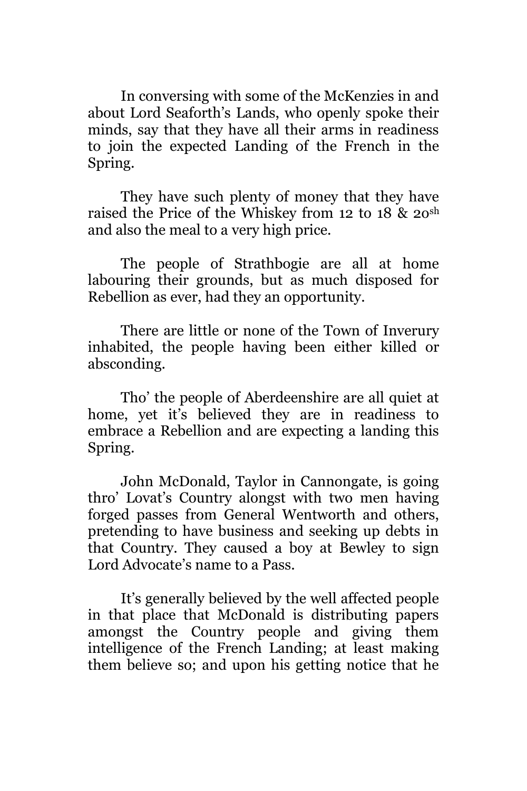In conversing with some of the McKenzies in and about Lord Seaforth's Lands, who openly spoke their minds, say that they have all their arms in readiness to join the expected Landing of the French in the Spring.

They have such plenty of money that they have raised the Price of the Whiskey from 12 to 18 & 2osh and also the meal to a very high price.

The people of Strathbogie are all at home labouring their grounds, but as much disposed for Rebellion as ever, had they an opportunity.

There are little or none of the Town of Inverury inhabited, the people having been either killed or absconding.

Tho' the people of Aberdeenshire are all quiet at home, yet it's believed they are in readiness to embrace a Rebellion and are expecting a landing this Spring.

John McDonald, Taylor in Cannongate, is going thro' Lovat's Country alongst with two men having forged passes from General Wentworth and others, pretending to have business and seeking up debts in that Country. They caused a boy at Bewley to sign Lord Advocate's name to a Pass.

It's generally believed by the well affected people in that place that McDonald is distributing papers amongst the Country people and giving them intelligence of the French Landing; at least making them believe so; and upon his getting notice that he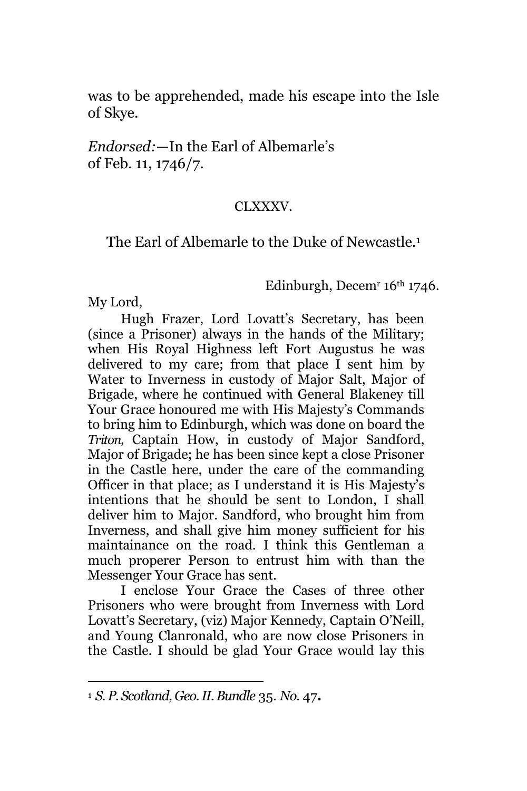was to be apprehended, made his escape into the Isle of Skye.

*Endorsed:*—In the Earl of Albemarle's of Feb. 11, 1746/7.

#### CLXXXV.

## The Earl of Albemarle to the Duke of Newcastle.<sup>1</sup>

#### Edinburgh, Decem<sup>r</sup>  $16<sup>th</sup> 1746$ .

My Lord,

 $\overline{a}$ 

Hugh Frazer, Lord Lovatt's Secretary, has been (since a Prisoner) always in the hands of the Military; when His Royal Highness left Fort Augustus he was delivered to my care; from that place I sent him by Water to Inverness in custody of Major Salt, Major of Brigade, where he continued with General Blakeney till Your Grace honoured me with His Majesty's Commands to bring him to Edinburgh, which was done on board the *Triton,* Captain How, in custody of Major Sandford, Major of Brigade; he has been since kept a close Prisoner in the Castle here, under the care of the commanding Officer in that place; as I understand it is His Majesty's intentions that he should be sent to London, I shall deliver him to Major. Sandford, who brought him from Inverness, and shall give him money sufficient for his maintainance on the road. I think this Gentleman a much properer Person to entrust him with than the Messenger Your Grace has sent.

I enclose Your Grace the Cases of three other Prisoners who were brought from Inverness with Lord Lovatt's Secretary, (viz) Major Kennedy, Captain O'Neill, and Young Clanronald, who are now close Prisoners in the Castle. I should be glad Your Grace would lay this

**<sup>1</sup>** *S. P. Scotland, Geo. II. Bundle* 35. *No.* 47**.**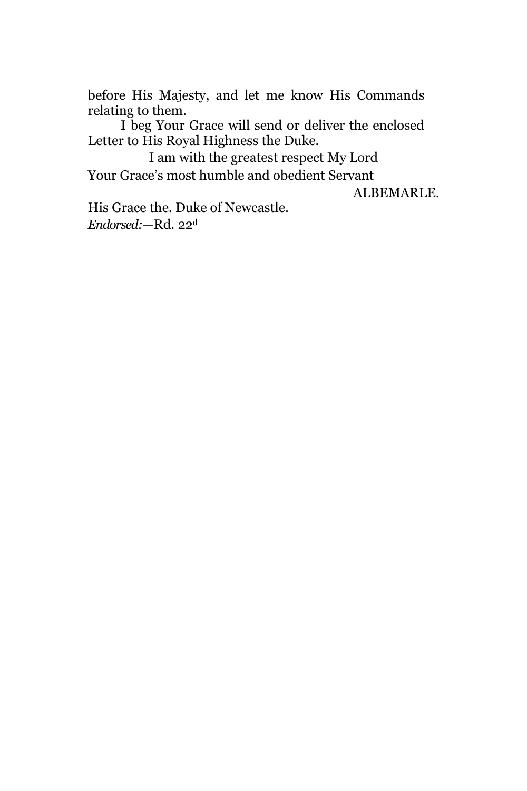before His Majesty, and let me know His Commands relating to them.

I beg Your Grace will send or deliver the enclosed Letter to His Royal Highness the Duke.

I am with the greatest respect My Lord Your Grace's most humble and obedient Servant

ALBEMARLE.

His Grace the. Duke of Newcastle. *Endorsed:*—Rd. 22d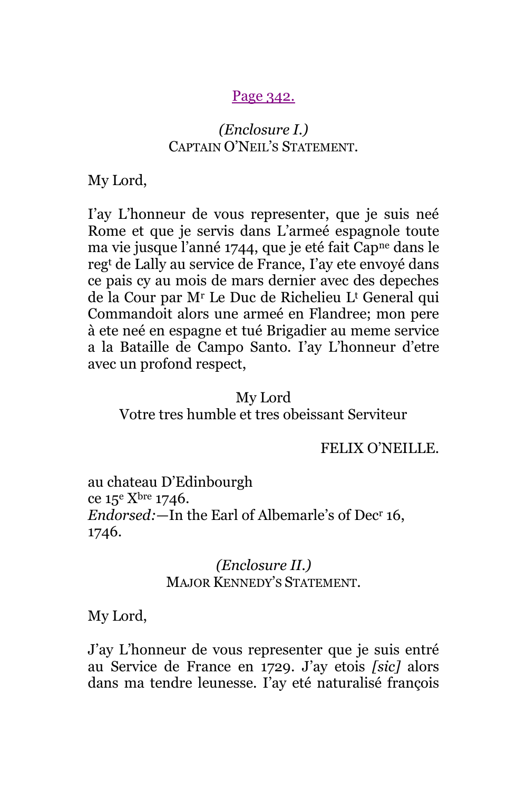#### [Page 342.](http://books.google.com/books?id=sHYuAAAAMAAJ&lpg=PA70&ots=I8wSL5XMzP&dq=%2BGartrigill&pg=PA342#v=onepage&q=CLXXXVII&f=false)

## *(Enclosure I.)* CAPTAIN O'NEIL'S STATEMENT.

My Lord,

I'ay L'honneur de vous representer, que je suis neé Rome et que je servis dans L'armeé espagnole toute ma vie jusque l'anné 1744, que je eté fait Capne dans le reg<sup>t</sup> de Lally au service de France, I'ay ete envoyé dans ce pais cy au mois de mars dernier avec des depeches de la Cour par M<sup>r</sup> Le Duc de Richelieu L<sup>t</sup> General qui Commandoit alors une armeé en Flandree; mon pere à ete neé en espagne et tué Brigadier au meme service a la Bataille de Campo Santo. I'ay L'honneur d'etre avec un profond respect,

#### My Lord

Votre tres humble et tres obeissant Serviteur

FELIX O'NEILLE.

au chateau D'Edinbourgh ce  $15^{\circ}$  X<sup>bre</sup> 1746. *Endorsed:*—In the Earl of Albemarle's of Dec<sup>r</sup> 16, 1746.

### *(Enclosure II.)* MAJOR KENNEDY'S STATEMENT.

My Lord,

J'ay L'honneur de vous representer que je suis entré au Service de France en 1729. J'ay etois *[sic]* alors dans ma tendre leunesse. I'ay eté naturalisé françois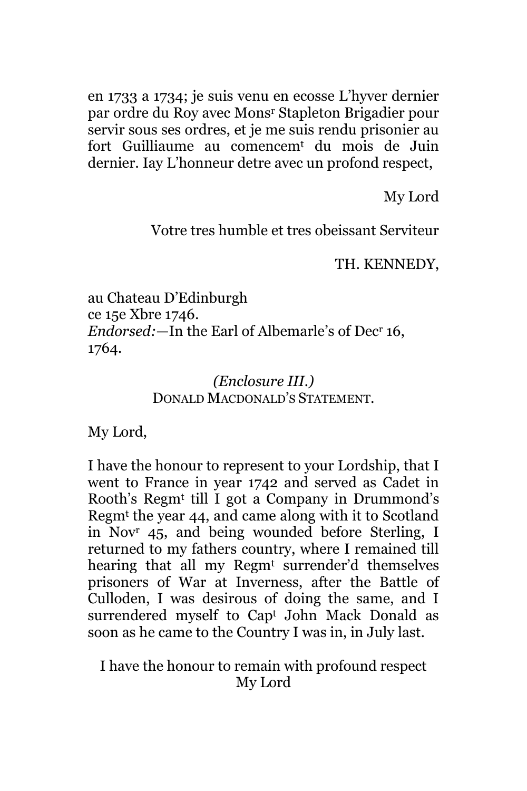en 1733 a 1734; je suis venu en ecosse L'hyver dernier par ordre du Roy avec Mons<sup>r</sup> Stapleton Brigadier pour servir sous ses ordres, et je me suis rendu prisonier au fort Guilliaume au comencem<sup>t</sup> du mois de Juin dernier. Iay L'honneur detre avec un profond respect,

My Lord

Votre tres humble et tres obeissant Serviteur

TH. KENNEDY,

au Chateau D'Edinburgh ce 15e Xbre 1746. *Endorsed:*—In the Earl of Albemarle's of Dec<sup>r</sup> 16, 1764.

## *(Enclosure III.)* DONALD MACDONALD'S STATEMENT.

My Lord,

I have the honour to represent to your Lordship, that I went to France in year 1742 and served as Cadet in Rooth's Regm<sup>t</sup> till I got a Company in Drummond's Regm<sup>t</sup> the year 44, and came along with it to Scotland in Nov<sup>r</sup> 45, and being wounded before Sterling, I returned to my fathers country, where I remained till hearing that all my Regm<sup>t</sup> surrender'd themselves prisoners of War at Inverness, after the Battle of Culloden, I was desirous of doing the same, and I surrendered myself to Cap<sup>t</sup> John Mack Donald as soon as he came to the Country I was in, in July last.

I have the honour to remain with profound respect My Lord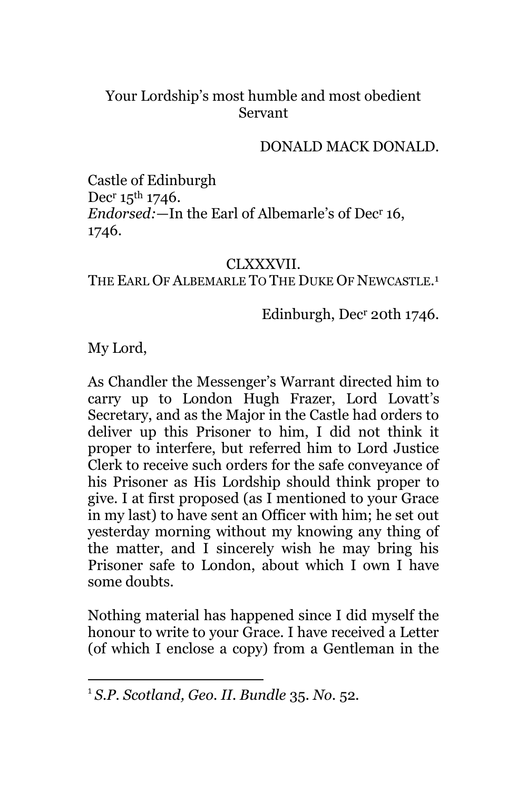## Your Lordship's most humble and most obedient Servant

## DONALD MACK DONALD.

Castle of Edinburgh Dec<sup>r</sup> 15<sup>th</sup> 1746. *Endorsed:*—In the Earl of Albemarle's of Dec<sup>r</sup> 16, 1746.

#### CLXXXVII.

## THE EARL OF ALBEMARLE TO THE DUKE OF NEWCASTLE.<sup>1</sup>

## Edinburgh, Dec<sup>r</sup> 20th 1746.

My Lord,

 $\overline{\phantom{a}}$ 

As Chandler the Messenger's Warrant directed him to carry up to London Hugh Frazer, Lord Lovatt's Secretary, and as the Major in the Castle had orders to deliver up this Prisoner to him, I did not think it proper to interfere, but referred him to Lord Justice Clerk to receive such orders for the safe conveyance of his Prisoner as His Lordship should think proper to give. I at first proposed (as I mentioned to your Grace in my last) to have sent an Officer with him; he set out yesterday morning without my knowing any thing of the matter, and I sincerely wish he may bring his Prisoner safe to London, about which I own I have some doubts.

Nothing material has happened since I did myself the honour to write to your Grace. I have received a Letter (of which I enclose a copy) from a Gentleman in the

<sup>1</sup> *S.P. Scotland, Geo. II. Bundle* 35. *No.* 52*.*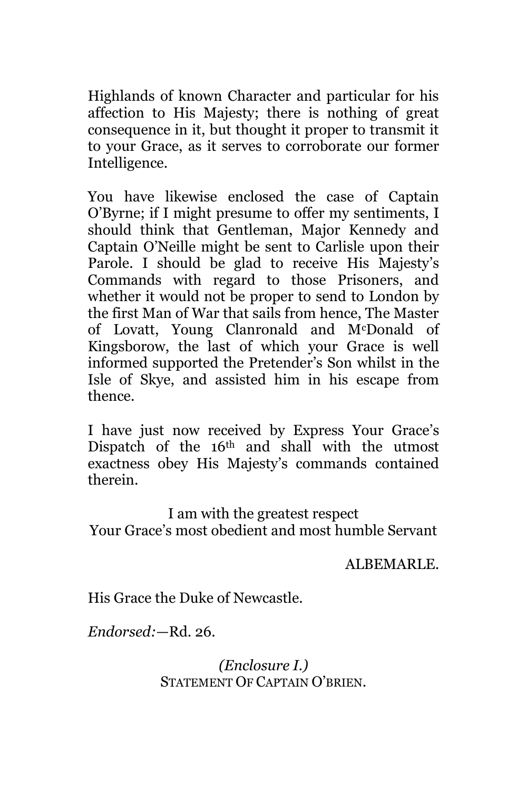Highlands of known Character and particular for his affection to His Majesty; there is nothing of great consequence in it, but thought it proper to transmit it to your Grace, as it serves to corroborate our former Intelligence.

You have likewise enclosed the case of Captain O'Byrne; if I might presume to offer my sentiments, I should think that Gentleman, Major Kennedy and Captain O'Neille might be sent to Carlisle upon their Parole. I should be glad to receive His Majesty's Commands with regard to those Prisoners, and whether it would not be proper to send to London by the first Man of War that sails from hence, The Master of Lovatt, Young Clanronald and McDonald of Kingsborow, the last of which your Grace is well informed supported the Pretender's Son whilst in the Isle of Skye, and assisted him in his escape from thence.

I have just now received by Express Your Grace's Dispatch of the 16<sup>th</sup> and shall with the utmost exactness obey His Majesty's commands contained therein.

I am with the greatest respect Your Grace's most obedient and most humble Servant

ALBEMARLE.

His Grace the Duke of Newcastle.

*Endorsed:*—Rd. 26.

*(Enclosure I.)* STATEMENT OF CAPTAIN O'BRIEN.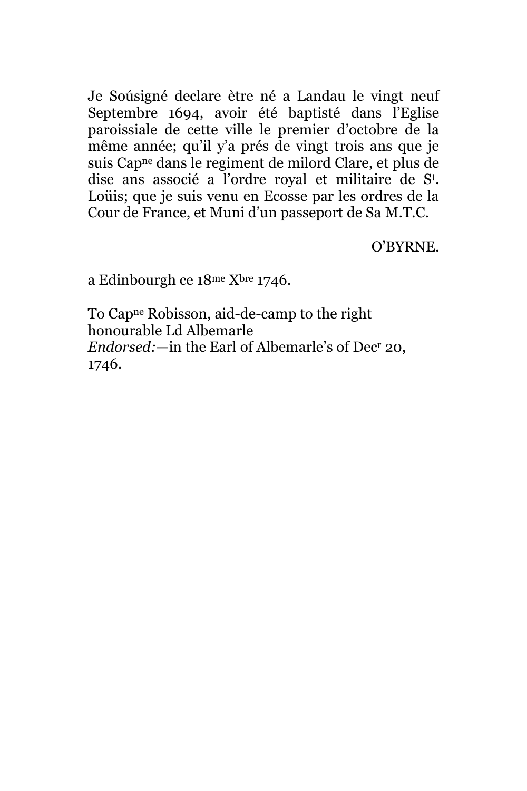Je Soúsigné declare ètre né a Landau le vingt neuf Septembre 1694, avoir été baptisté dans l'Eglise paroissiale de cette ville le premier d'octobre de la même année; qu'il y'a prés de vingt trois ans que je suis Capne dans le regiment de milord Clare, et plus de dise ans associé a l'ordre royal et militaire de S<sup>t</sup> . Loüis; que je suis venu en Ecosse par les ordres de la Cour de France, et Muni d'un passeport de Sa M.T.C.

O'BYRNE.

a Edinbourgh ce 18me Xbre 1746.

To Capne Robisson, aid-de-camp to the right honourable Ld Albemarle *Endorsed:*—in the Earl of Albemarle's of Dec<sup>r</sup> 20, 1746.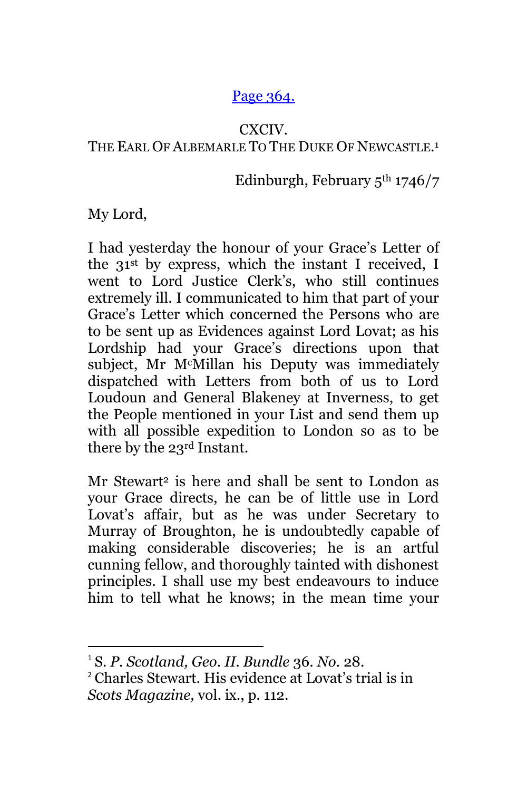## [Page 364.](http://books.google.com/books?id=sHYuAAAAMAAJ&lpg=PA70&ots=I8wSL5XMzP&dq=%2BGartrigill&pg=PA364#v=onepage&q=+Gartrigill&f=false)

### CXCIV.

## THE EARL OF ALBEMARLE TO THE DUKE OF NEWCASTLE.<sup>1</sup>

## Edinburgh, February  $5<sup>th</sup> 1746/7$

My Lord,

 $\overline{\phantom{a}}$ 

I had yesterday the honour of your Grace's Letter of the 31st by express, which the instant I received, I went to Lord Justice Clerk's, who still continues extremely ill. I communicated to him that part of your Grace's Letter which concerned the Persons who are to be sent up as Evidences against Lord Lovat; as his Lordship had your Grace's directions upon that subject, Mr McMillan his Deputy was immediately dispatched with Letters from both of us to Lord Loudoun and General Blakeney at Inverness, to get the People mentioned in your List and send them up with all possible expedition to London so as to be there by the 23rd Instant.

Mr Stewart<sup>2</sup> is here and shall be sent to London as your Grace directs, he can be of little use in Lord Lovat's affair, but as he was under Secretary to Murray of Broughton, he is undoubtedly capable of making considerable discoveries; he is an artful cunning fellow, and thoroughly tainted with dishonest principles. I shall use my best endeavours to induce him to tell what he knows; in the mean time your

<sup>1</sup> S. *P. Scotland, Geo. II. Bundle* 36. *No.* 28.

<sup>2</sup> Charles Stewart. His evidence at Lovat's trial is in *Scots Magazine,* vol. ix., p. 112.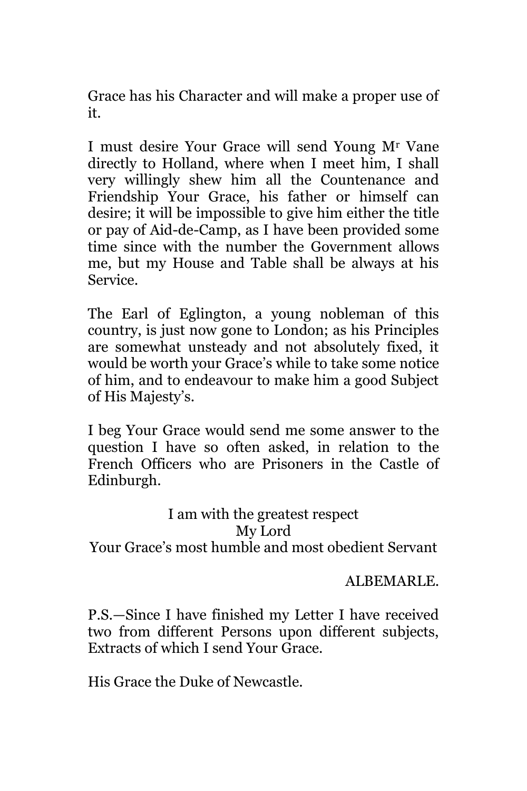Grace has his Character and will make a proper use of it.

I must desire Your Grace will send Young M<sup>r</sup> Vane directly to Holland, where when I meet him, I shall very willingly shew him all the Countenance and Friendship Your Grace, his father or himself can desire; it will be impossible to give him either the title or pay of Aid-de-Camp, as I have been provided some time since with the number the Government allows me, but my House and Table shall be always at his Service.

The Earl of Eglington, a young nobleman of this country, is just now gone to London; as his Principles are somewhat unsteady and not absolutely fixed, it would be worth your Grace's while to take some notice of him, and to endeavour to make him a good Subject of His Majesty's.

I beg Your Grace would send me some answer to the question I have so often asked, in relation to the French Officers who are Prisoners in the Castle of Edinburgh.

I am with the greatest respect My Lord Your Grace's most humble and most obedient Servant

ALBEMARLE.

P.S.—Since I have finished my Letter I have received two from different Persons upon different subjects, Extracts of which I send Your Grace.

His Grace the Duke of Newcastle.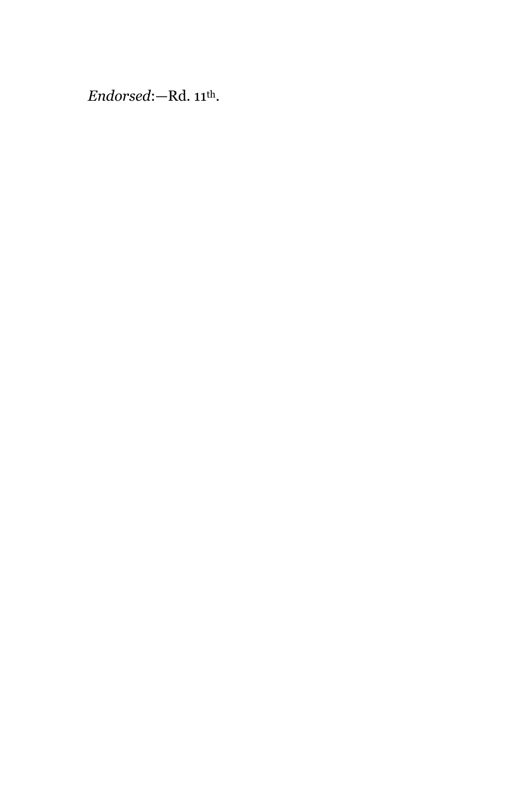# *Endorsed*:—Rd. 11th.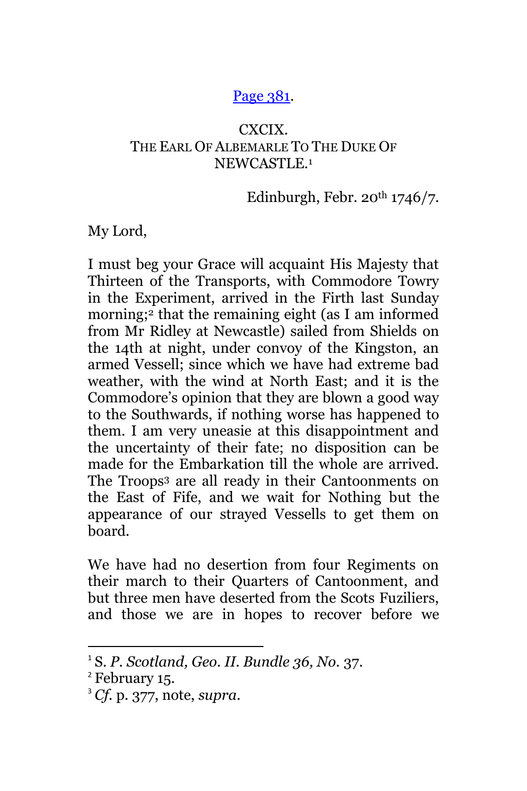### [Page 381.](http://books.google.com/books?id=sHYuAAAAMAAJ&lpg=PA70&ots=I8wSL5XMzP&dq=%2BGartrigill&pg=PA381#v=onepage&q=+Gartrigill&f=false)

## CXCIX. THE EARL OF ALBEMARLE TO THE DUKE OF NEWCASTLE.<sup>1</sup>

Edinburgh, Febr.  $20^{th}$  1746/7.

My Lord,

I must beg your Grace will acquaint His Majesty that Thirteen of the Transports, with Commodore Towry in the Experiment, arrived in the Firth last Sunday morning;<sup>2</sup> that the remaining eight (as I am informed from Mr Ridley at Newcastle) sailed from Shields on the 14th at night, under convoy of the Kingston, an armed Vessell; since which we have had extreme bad weather, with the wind at North East; and it is the Commodore's opinion that they are blown a good way to the Southwards, if nothing worse has happened to them. I am very uneasie at this disappointment and the uncertainty of their fate; no disposition can be made for the Embarkation till the whole are arrived. The Troops<sup>3</sup> are all ready in their Cantoonments on the East of Fife, and we wait for Nothing but the appearance of our strayed Vessells to get them on board.

We have had no desertion from four Regiments on their march to their Quarters of Cantoonment, and but three men have deserted from the Scots Fuziliers, and those we are in hopes to recover before we

<sup>1</sup> S. *P. Scotland, Geo. II. Bundle 36, No.* 37.

<sup>2</sup> February 15.

<sup>3</sup> *Cf.* p. 377, note, *supra.*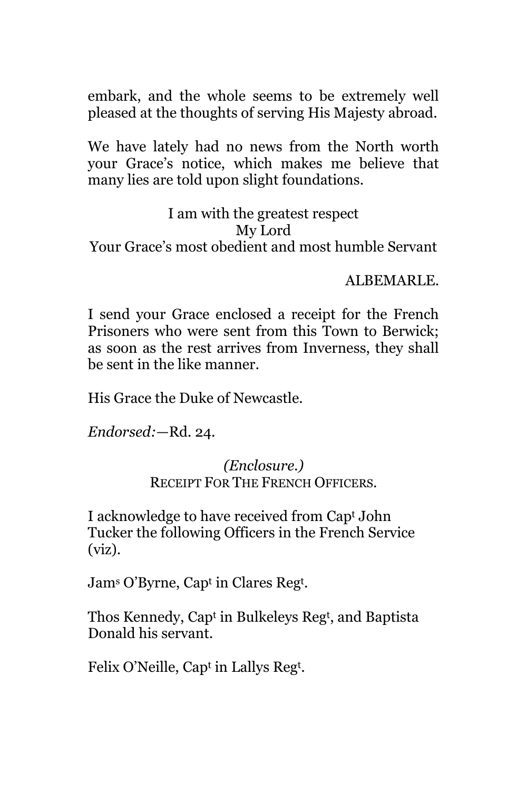embark, and the whole seems to be extremely well pleased at the thoughts of serving His Majesty abroad.

We have lately had no news from the North worth your Grace's notice, which makes me believe that many lies are told upon slight foundations.

I am with the greatest respect My Lord Your Grace's most obedient and most humble Servant

ALBEMARLE.

I send your Grace enclosed a receipt for the French Prisoners who were sent from this Town to Berwick; as soon as the rest arrives from Inverness, they shall be sent in the like manner.

His Grace the Duke of Newcastle.

*Endorsed:*—Rd. 24.

*(Enclosure.)* RECEIPT FOR THE FRENCH OFFICERS.

I acknowledge to have received from Cap<sup>t</sup> John Tucker the following Officers in the French Service (viz).

Jam<sup>s</sup> O'Byrne, Cap<sup>t</sup> in Clares Reg<sup>t</sup> .

Thos Kennedy, Cap<sup>t</sup> in Bulkeleys Reg<sup>t</sup> , and Baptista Donald his servant.

Felix O'Neille, Cap<sup>t</sup> in Lallys Reg<sup>t</sup>.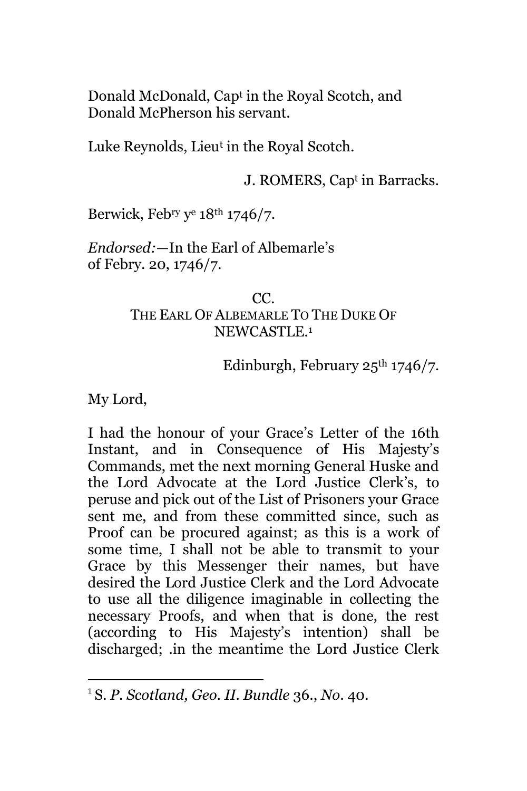Donald McDonald, Cap<sup>t</sup> in the Royal Scotch, and Donald McPherson his servant.

Luke Reynolds, Lieu<sup>t</sup> in the Royal Scotch.

J. ROMERS, Cap<sup>t</sup> in Barracks.

Berwick, Febry y <sup>e</sup> 18th 1746/7.

*Endorsed:*—In the Earl of Albemarle's of Febry. 20, 1746/7.

### $CC<sub>c</sub>$ THE EARL OF ALBEMARLE TO THE DUKE OF NEWCASTLE.<sup>1</sup>

Edinburgh, February 25th 1746/7.

My Lord,

 $\overline{\phantom{a}}$ 

I had the honour of your Grace's Letter of the 16th Instant, and in Consequence of His Majesty's Commands, met the next morning General Huske and the Lord Advocate at the Lord Justice Clerk's, to peruse and pick out of the List of Prisoners your Grace sent me, and from these committed since, such as Proof can be procured against; as this is a work of some time, I shall not be able to transmit to your Grace by this Messenger their names, but have desired the Lord Justice Clerk and the Lord Advocate to use all the diligence imaginable in collecting the necessary Proofs, and when that is done, the rest (according to His Majesty's intention) shall be discharged; .in the meantime the Lord Justice Clerk

<sup>1</sup> S. *P. Scotland, Geo. II. Bundle* 36., *No*. 40.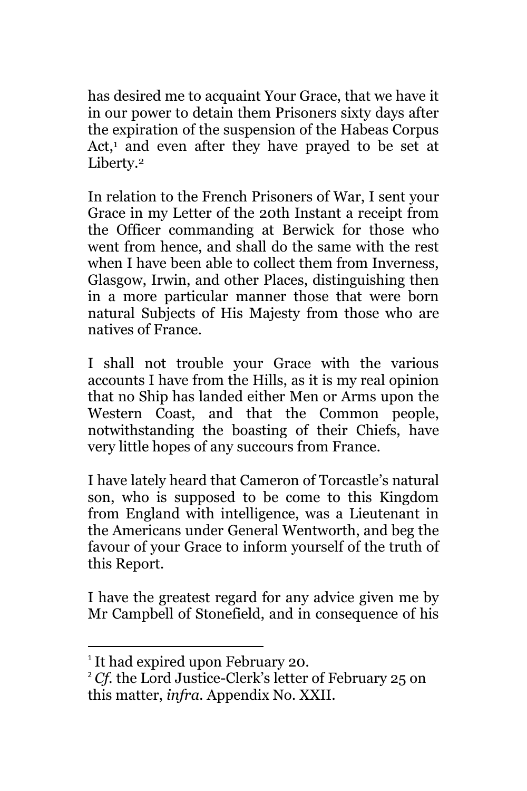has desired me to acquaint Your Grace, that we have it in our power to detain them Prisoners sixty days after the expiration of the suspension of the Habeas Corpus Act, $<sup>1</sup>$  and even after they have prayed to be set at</sup> Liberty.<sup>2</sup>

In relation to the French Prisoners of War, I sent your Grace in my Letter of the 20th Instant a receipt from the Officer commanding at Berwick for those who went from hence, and shall do the same with the rest when I have been able to collect them from Inverness, Glasgow, Irwin, and other Places, distinguishing then in a more particular manner those that were born natural Subjects of His Majesty from those who are natives of France.

I shall not trouble your Grace with the various accounts I have from the Hills, as it is my real opinion that no Ship has landed either Men or Arms upon the Western Coast, and that the Common people, notwithstanding the boasting of their Chiefs, have very little hopes of any succours from France.

I have lately heard that Cameron of Torcastle's natural son, who is supposed to be come to this Kingdom from England with intelligence, was a Lieutenant in the Americans under General Wentworth, and beg the favour of your Grace to inform yourself of the truth of this Report.

I have the greatest regard for any advice given me by Mr Campbell of Stonefield, and in consequence of his

<sup>&</sup>lt;sup>1</sup> It had expired upon February 20.

<sup>&</sup>lt;sup>2</sup> *Cf.* the Lord Justice-Clerk's letter of February 25 on this matter, *infra.* Appendix No. XXII.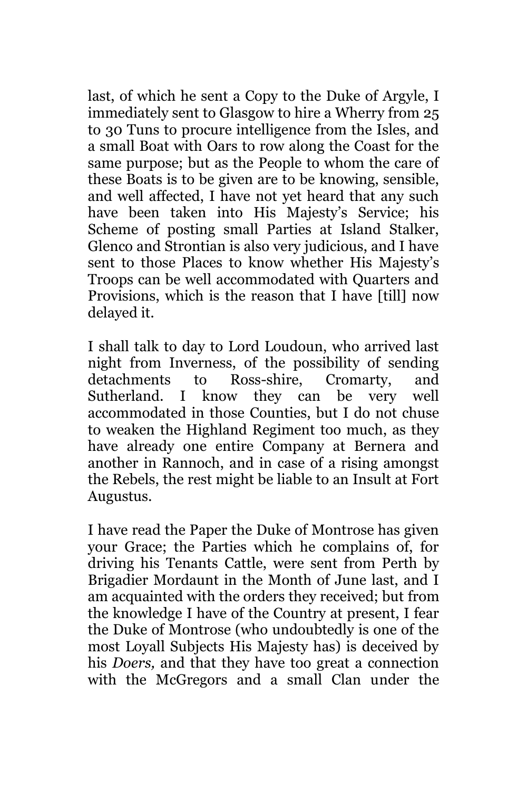last, of which he sent a Copy to the Duke of Argyle, I immediately sent to Glasgow to hire a Wherry from 25 to 30 Tuns to procure intelligence from the Isles, and a small Boat with Oars to row along the Coast for the same purpose; but as the People to whom the care of these Boats is to be given are to be knowing, sensible, and well affected, I have not yet heard that any such have been taken into His Majesty's Service; his Scheme of posting small Parties at Island Stalker, Glenco and Strontian is also very judicious, and I have sent to those Places to know whether His Majesty's Troops can be well accommodated with Quarters and Provisions, which is the reason that I have [till] now delayed it.

I shall talk to day to Lord Loudoun, who arrived last night from Inverness, of the possibility of sending detachments to Ross-shire, Cromarty, and Sutherland. I know they can be very well accommodated in those Counties, but I do not chuse to weaken the Highland Regiment too much, as they have already one entire Company at Bernera and another in Rannoch, and in case of a rising amongst the Rebels, the rest might be liable to an Insult at Fort Augustus.

I have read the Paper the Duke of Montrose has given your Grace; the Parties which he complains of, for driving his Tenants Cattle, were sent from Perth by Brigadier Mordaunt in the Month of June last, and I am acquainted with the orders they received; but from the knowledge I have of the Country at present, I fear the Duke of Montrose (who undoubtedly is one of the most Loyall Subjects His Majesty has) is deceived by his *Doers,* and that they have too great a connection with the McGregors and a small Clan under the